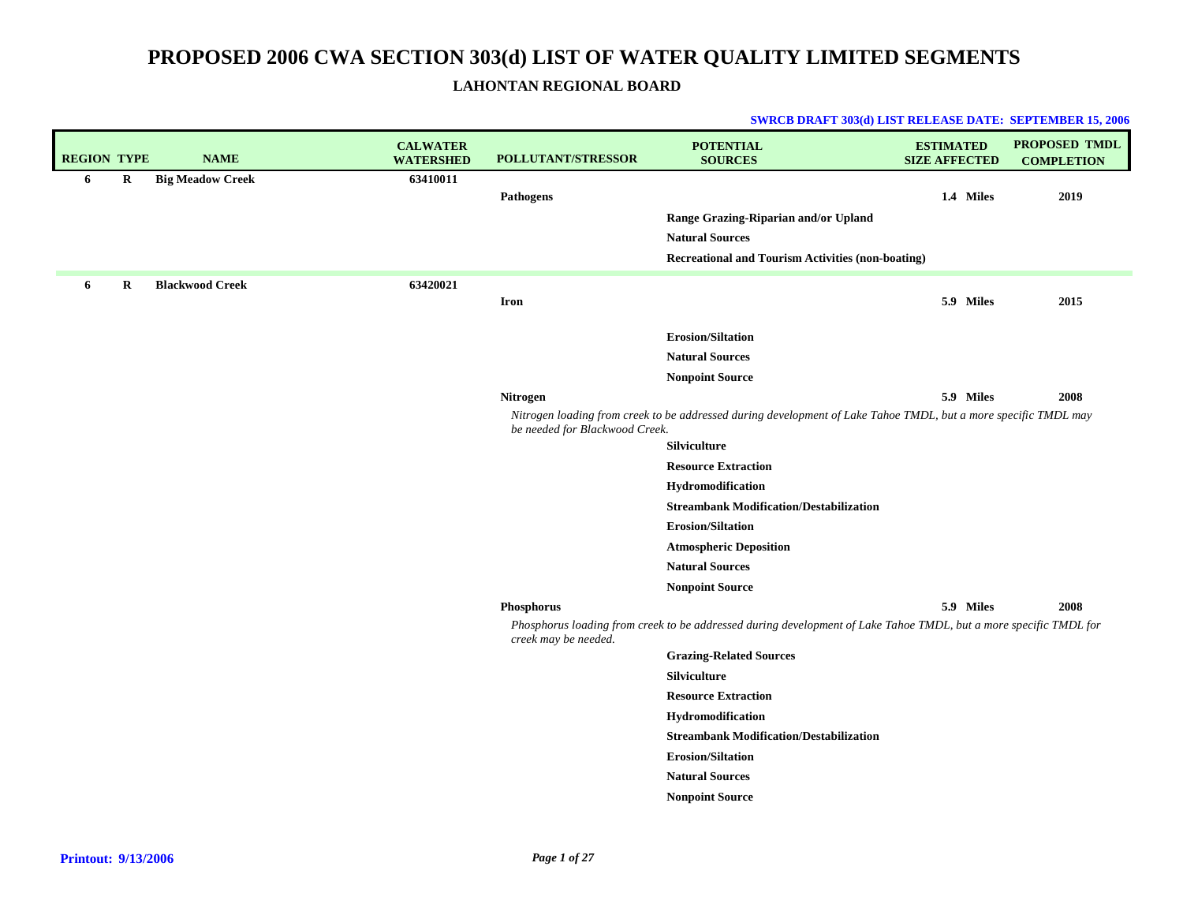| <b>REGION TYPE</b> |   | <b>NAME</b>             | <b>CALWATER</b><br><b>WATERSHED</b> | <b>POLLUTANT/STRESSOR</b>      | <b>POTENTIAL</b><br><b>SOURCES</b>                                                                                | <b>ESTIMATED</b><br><b>SIZE AFFECTED</b> | <b>PROPOSED TMDL</b><br><b>COMPLETION</b> |
|--------------------|---|-------------------------|-------------------------------------|--------------------------------|-------------------------------------------------------------------------------------------------------------------|------------------------------------------|-------------------------------------------|
| 6                  | R | <b>Big Meadow Creek</b> | 63410011                            |                                |                                                                                                                   |                                          |                                           |
|                    |   |                         |                                     | <b>Pathogens</b>               |                                                                                                                   | 1.4 Miles                                | 2019                                      |
|                    |   |                         |                                     |                                | Range Grazing-Riparian and/or Upland                                                                              |                                          |                                           |
|                    |   |                         |                                     |                                | <b>Natural Sources</b>                                                                                            |                                          |                                           |
|                    |   |                         |                                     |                                | <b>Recreational and Tourism Activities (non-boating)</b>                                                          |                                          |                                           |
| 6                  | R | <b>Blackwood Creek</b>  | 63420021                            |                                |                                                                                                                   |                                          |                                           |
|                    |   |                         |                                     | <b>Iron</b>                    |                                                                                                                   | 5.9 Miles                                | 2015                                      |
|                    |   |                         |                                     |                                | <b>Erosion/Siltation</b>                                                                                          |                                          |                                           |
|                    |   |                         |                                     |                                | <b>Natural Sources</b>                                                                                            |                                          |                                           |
|                    |   |                         |                                     |                                | <b>Nonpoint Source</b>                                                                                            |                                          |                                           |
|                    |   |                         |                                     | <b>Nitrogen</b>                |                                                                                                                   | 5.9 Miles                                | 2008                                      |
|                    |   |                         |                                     |                                | Nitrogen loading from creek to be addressed during development of Lake Tahoe TMDL, but a more specific TMDL may   |                                          |                                           |
|                    |   |                         |                                     | be needed for Blackwood Creek. | <b>Silviculture</b>                                                                                               |                                          |                                           |
|                    |   |                         |                                     |                                | <b>Resource Extraction</b>                                                                                        |                                          |                                           |
|                    |   |                         |                                     |                                | Hydromodification                                                                                                 |                                          |                                           |
|                    |   |                         |                                     |                                | <b>Streambank Modification/Destabilization</b>                                                                    |                                          |                                           |
|                    |   |                         |                                     |                                | <b>Erosion/Siltation</b>                                                                                          |                                          |                                           |
|                    |   |                         |                                     |                                | <b>Atmospheric Deposition</b>                                                                                     |                                          |                                           |
|                    |   |                         |                                     |                                | <b>Natural Sources</b>                                                                                            |                                          |                                           |
|                    |   |                         |                                     |                                | <b>Nonpoint Source</b>                                                                                            |                                          |                                           |
|                    |   |                         |                                     | <b>Phosphorus</b>              |                                                                                                                   | 5.9 Miles                                | 2008                                      |
|                    |   |                         |                                     | creek may be needed.           | Phosphorus loading from creek to be addressed during development of Lake Tahoe TMDL, but a more specific TMDL for |                                          |                                           |
|                    |   |                         |                                     |                                | <b>Grazing-Related Sources</b>                                                                                    |                                          |                                           |
|                    |   |                         |                                     |                                | <b>Silviculture</b>                                                                                               |                                          |                                           |
|                    |   |                         |                                     |                                | <b>Resource Extraction</b>                                                                                        |                                          |                                           |
|                    |   |                         |                                     |                                | Hydromodification                                                                                                 |                                          |                                           |
|                    |   |                         |                                     |                                | <b>Streambank Modification/Destabilization</b>                                                                    |                                          |                                           |
|                    |   |                         |                                     |                                | <b>Erosion/Siltation</b>                                                                                          |                                          |                                           |
|                    |   |                         |                                     |                                | <b>Natural Sources</b>                                                                                            |                                          |                                           |
|                    |   |                         |                                     |                                | <b>Nonpoint Source</b>                                                                                            |                                          |                                           |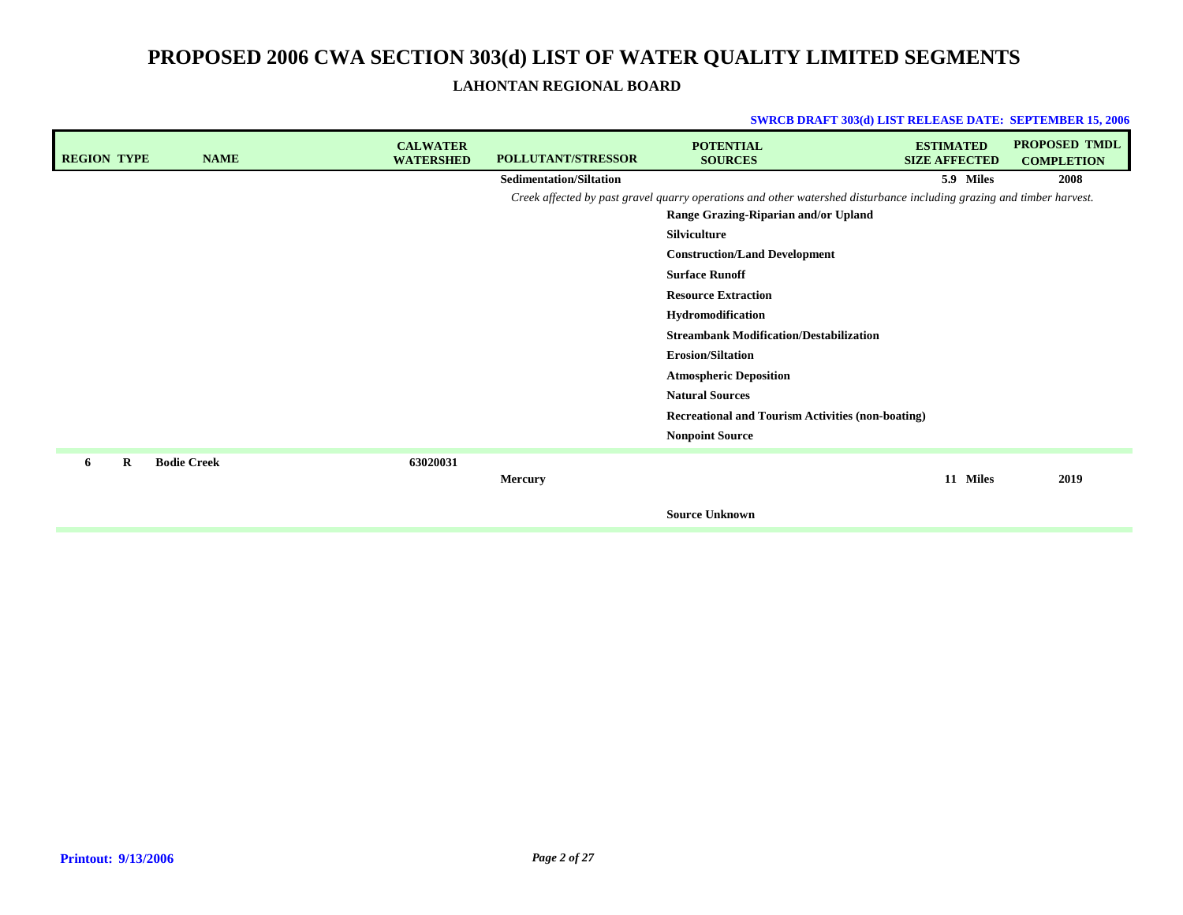| <b>REGION TYPE</b> | <b>NAME</b>        | <b>CALWATER</b><br><b>WATERSHED</b> | <b>POLLUTANT/STRESSOR</b>      | <b>POTENTIAL</b><br><b>SOURCES</b>                                                                                    | <b>ESTIMATED</b><br><b>SIZE AFFECTED</b> | <b>PROPOSED TMDL</b><br><b>COMPLETION</b> |
|--------------------|--------------------|-------------------------------------|--------------------------------|-----------------------------------------------------------------------------------------------------------------------|------------------------------------------|-------------------------------------------|
|                    |                    |                                     | <b>Sedimentation/Siltation</b> |                                                                                                                       | 5.9 Miles                                | 2008                                      |
|                    |                    |                                     |                                | Creek affected by past gravel quarry operations and other watershed disturbance including grazing and timber harvest. |                                          |                                           |
|                    |                    |                                     |                                | Range Grazing-Riparian and/or Upland                                                                                  |                                          |                                           |
|                    |                    |                                     |                                | Silviculture                                                                                                          |                                          |                                           |
|                    |                    |                                     |                                | <b>Construction/Land Development</b>                                                                                  |                                          |                                           |
|                    |                    |                                     |                                | <b>Surface Runoff</b>                                                                                                 |                                          |                                           |
|                    |                    |                                     |                                | <b>Resource Extraction</b>                                                                                            |                                          |                                           |
|                    |                    |                                     |                                | Hydromodification                                                                                                     |                                          |                                           |
|                    |                    |                                     |                                | <b>Streambank Modification/Destabilization</b>                                                                        |                                          |                                           |
|                    |                    |                                     |                                | <b>Erosion/Siltation</b>                                                                                              |                                          |                                           |
|                    |                    |                                     |                                | <b>Atmospheric Deposition</b>                                                                                         |                                          |                                           |
|                    |                    |                                     |                                | <b>Natural Sources</b>                                                                                                |                                          |                                           |
|                    |                    |                                     |                                | <b>Recreational and Tourism Activities (non-boating)</b>                                                              |                                          |                                           |
|                    |                    |                                     |                                | <b>Nonpoint Source</b>                                                                                                |                                          |                                           |
| $\mathbf R$<br>6   | <b>Bodie Creek</b> | 63020031                            |                                |                                                                                                                       |                                          |                                           |
|                    |                    |                                     | <b>Mercury</b>                 |                                                                                                                       | 11 Miles                                 | 2019                                      |
|                    |                    |                                     |                                | <b>Source Unknown</b>                                                                                                 |                                          |                                           |
|                    |                    |                                     |                                |                                                                                                                       |                                          |                                           |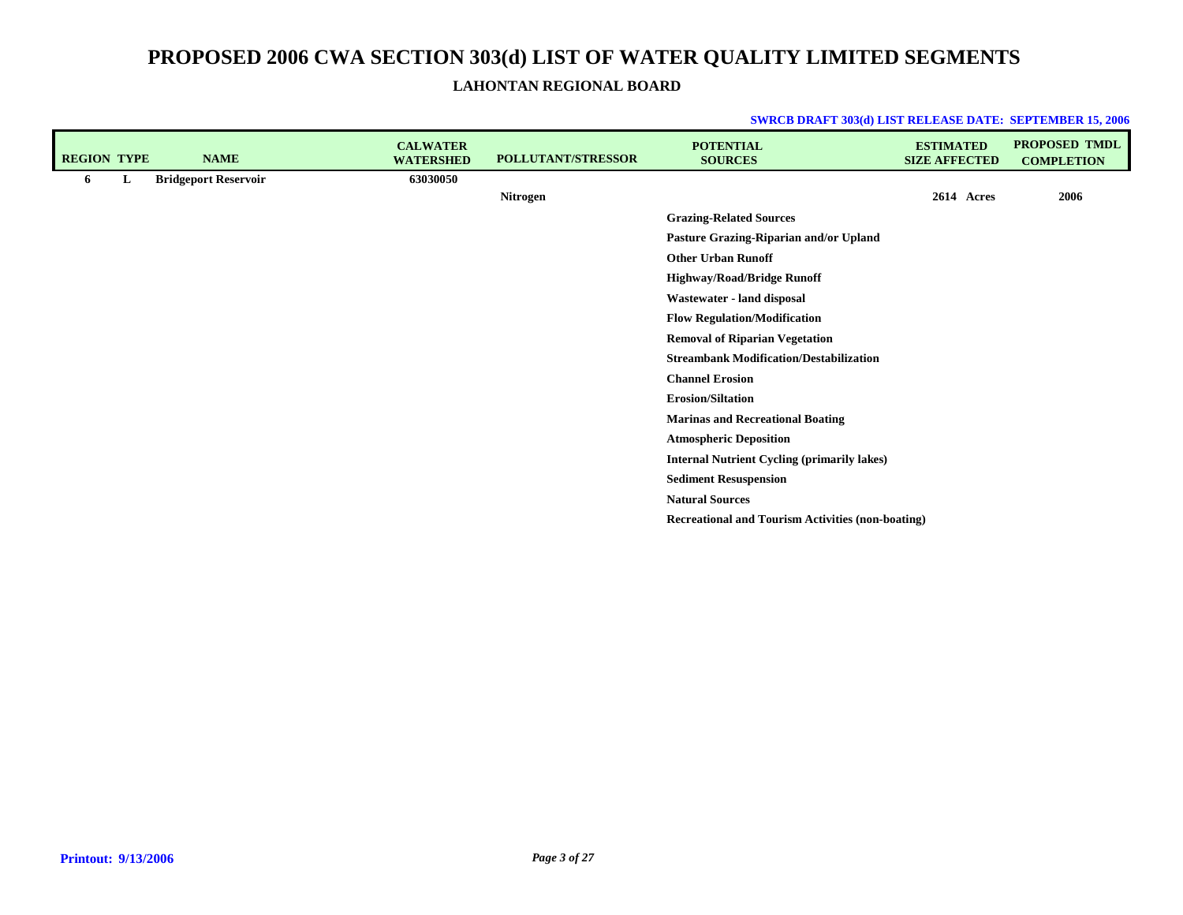| <b>REGION TYPE</b> |   | <b>NAME</b>                 | <b>CALWATER</b><br><b>WATERSHED</b> | POLLUTANT/STRESSOR | <b>POTENTIAL</b><br><b>SOURCES</b>                       | <b>ESTIMATED</b><br><b>SIZE AFFECTED</b> | <b>PROPOSED TMDL</b><br><b>COMPLETION</b> |
|--------------------|---|-----------------------------|-------------------------------------|--------------------|----------------------------------------------------------|------------------------------------------|-------------------------------------------|
| 6                  | L | <b>Bridgeport Reservoir</b> | 63030050                            |                    |                                                          |                                          |                                           |
|                    |   |                             |                                     | Nitrogen           |                                                          | 2614 Acres                               | 2006                                      |
|                    |   |                             |                                     |                    | <b>Grazing-Related Sources</b>                           |                                          |                                           |
|                    |   |                             |                                     |                    | Pasture Grazing-Riparian and/or Upland                   |                                          |                                           |
|                    |   |                             |                                     |                    | <b>Other Urban Runoff</b>                                |                                          |                                           |
|                    |   |                             |                                     |                    | <b>Highway/Road/Bridge Runoff</b>                        |                                          |                                           |
|                    |   |                             |                                     |                    | Wastewater - land disposal                               |                                          |                                           |
|                    |   |                             |                                     |                    | <b>Flow Regulation/Modification</b>                      |                                          |                                           |
|                    |   |                             |                                     |                    | <b>Removal of Riparian Vegetation</b>                    |                                          |                                           |
|                    |   |                             |                                     |                    | <b>Streambank Modification/Destabilization</b>           |                                          |                                           |
|                    |   |                             |                                     |                    | <b>Channel Erosion</b>                                   |                                          |                                           |
|                    |   |                             |                                     |                    | <b>Erosion/Siltation</b>                                 |                                          |                                           |
|                    |   |                             |                                     |                    | <b>Marinas and Recreational Boating</b>                  |                                          |                                           |
|                    |   |                             |                                     |                    | <b>Atmospheric Deposition</b>                            |                                          |                                           |
|                    |   |                             |                                     |                    | <b>Internal Nutrient Cycling (primarily lakes)</b>       |                                          |                                           |
|                    |   |                             |                                     |                    | <b>Sediment Resuspension</b>                             |                                          |                                           |
|                    |   |                             |                                     |                    | <b>Natural Sources</b>                                   |                                          |                                           |
|                    |   |                             |                                     |                    | <b>Recreational and Tourism Activities (non-boating)</b> |                                          |                                           |
|                    |   |                             |                                     |                    |                                                          |                                          |                                           |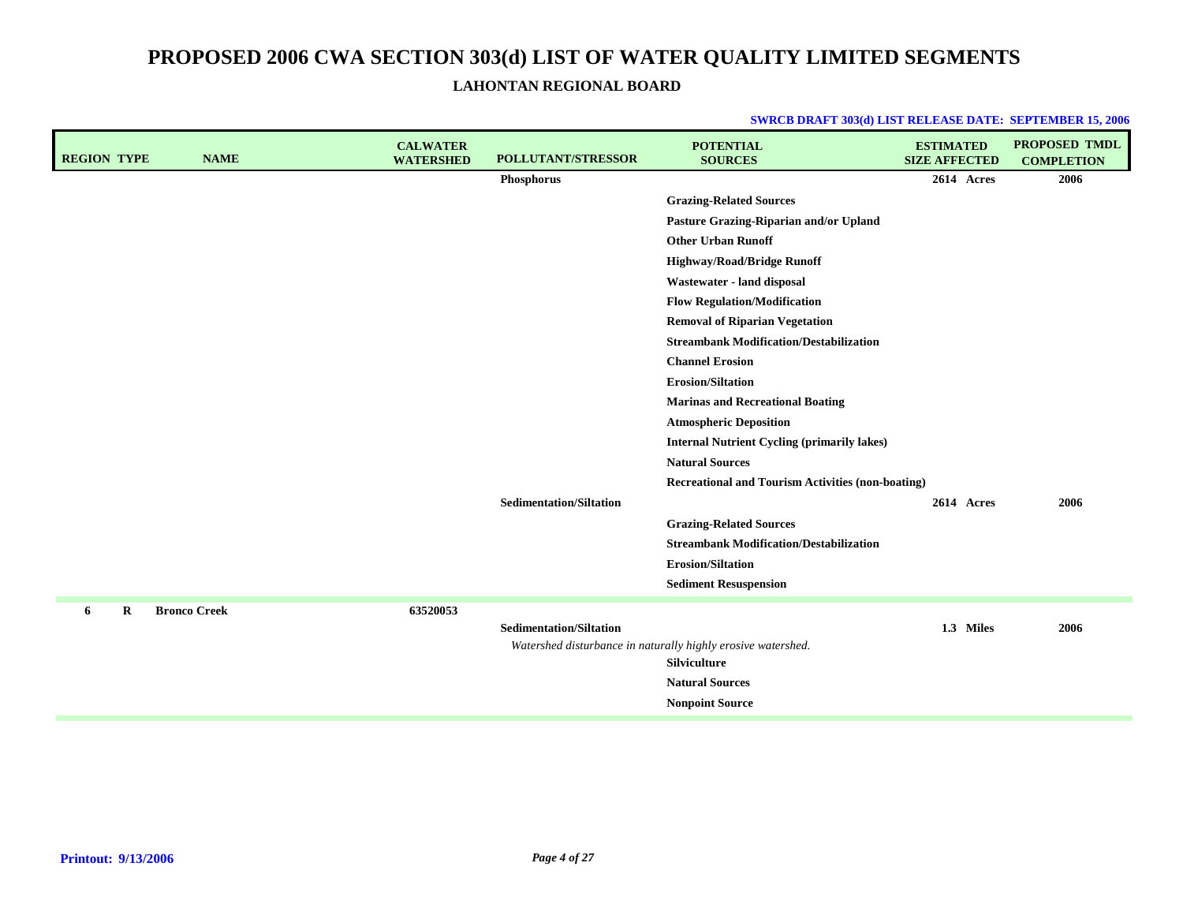| <b>REGION TYPE</b> | <b>NAME</b>         | <b>CALWATER</b><br><b>WATERSHED</b> | <b>POLLUTANT/STRESSOR</b>      | <b>POTENTIAL</b><br><b>SOURCES</b>                           | <b>ESTIMATED</b><br><b>SIZE AFFECTED</b> | <b>PROPOSED TMDL</b><br><b>COMPLETION</b> |
|--------------------|---------------------|-------------------------------------|--------------------------------|--------------------------------------------------------------|------------------------------------------|-------------------------------------------|
|                    |                     |                                     | Phosphorus                     |                                                              | 2614 Acres                               | 2006                                      |
|                    |                     |                                     |                                | <b>Grazing-Related Sources</b>                               |                                          |                                           |
|                    |                     |                                     |                                | Pasture Grazing-Riparian and/or Upland                       |                                          |                                           |
|                    |                     |                                     |                                | <b>Other Urban Runoff</b>                                    |                                          |                                           |
|                    |                     |                                     |                                | <b>Highway/Road/Bridge Runoff</b>                            |                                          |                                           |
|                    |                     |                                     |                                | Wastewater - land disposal                                   |                                          |                                           |
|                    |                     |                                     |                                | <b>Flow Regulation/Modification</b>                          |                                          |                                           |
|                    |                     |                                     |                                | <b>Removal of Riparian Vegetation</b>                        |                                          |                                           |
|                    |                     |                                     |                                | <b>Streambank Modification/Destabilization</b>               |                                          |                                           |
|                    |                     |                                     |                                | <b>Channel Erosion</b>                                       |                                          |                                           |
|                    |                     |                                     |                                | <b>Erosion/Siltation</b>                                     |                                          |                                           |
|                    |                     |                                     |                                | <b>Marinas and Recreational Boating</b>                      |                                          |                                           |
|                    |                     |                                     |                                | <b>Atmospheric Deposition</b>                                |                                          |                                           |
|                    |                     |                                     |                                | <b>Internal Nutrient Cycling (primarily lakes)</b>           |                                          |                                           |
|                    |                     |                                     |                                | <b>Natural Sources</b>                                       |                                          |                                           |
|                    |                     |                                     |                                | <b>Recreational and Tourism Activities (non-boating)</b>     |                                          |                                           |
|                    |                     |                                     | <b>Sedimentation/Siltation</b> |                                                              | 2614 Acres                               | 2006                                      |
|                    |                     |                                     |                                | <b>Grazing-Related Sources</b>                               |                                          |                                           |
|                    |                     |                                     |                                | <b>Streambank Modification/Destabilization</b>               |                                          |                                           |
|                    |                     |                                     |                                | <b>Erosion/Siltation</b>                                     |                                          |                                           |
|                    |                     |                                     |                                | <b>Sediment Resuspension</b>                                 |                                          |                                           |
| $\bf{R}$<br>6      | <b>Bronco Creek</b> | 63520053                            |                                |                                                              |                                          |                                           |
|                    |                     |                                     | <b>Sedimentation/Siltation</b> |                                                              | 1.3 Miles                                | 2006                                      |
|                    |                     |                                     |                                | Watershed disturbance in naturally highly erosive watershed. |                                          |                                           |
|                    |                     |                                     |                                | Silviculture                                                 |                                          |                                           |
|                    |                     |                                     |                                | <b>Natural Sources</b>                                       |                                          |                                           |
|                    |                     |                                     |                                | <b>Nonpoint Source</b>                                       |                                          |                                           |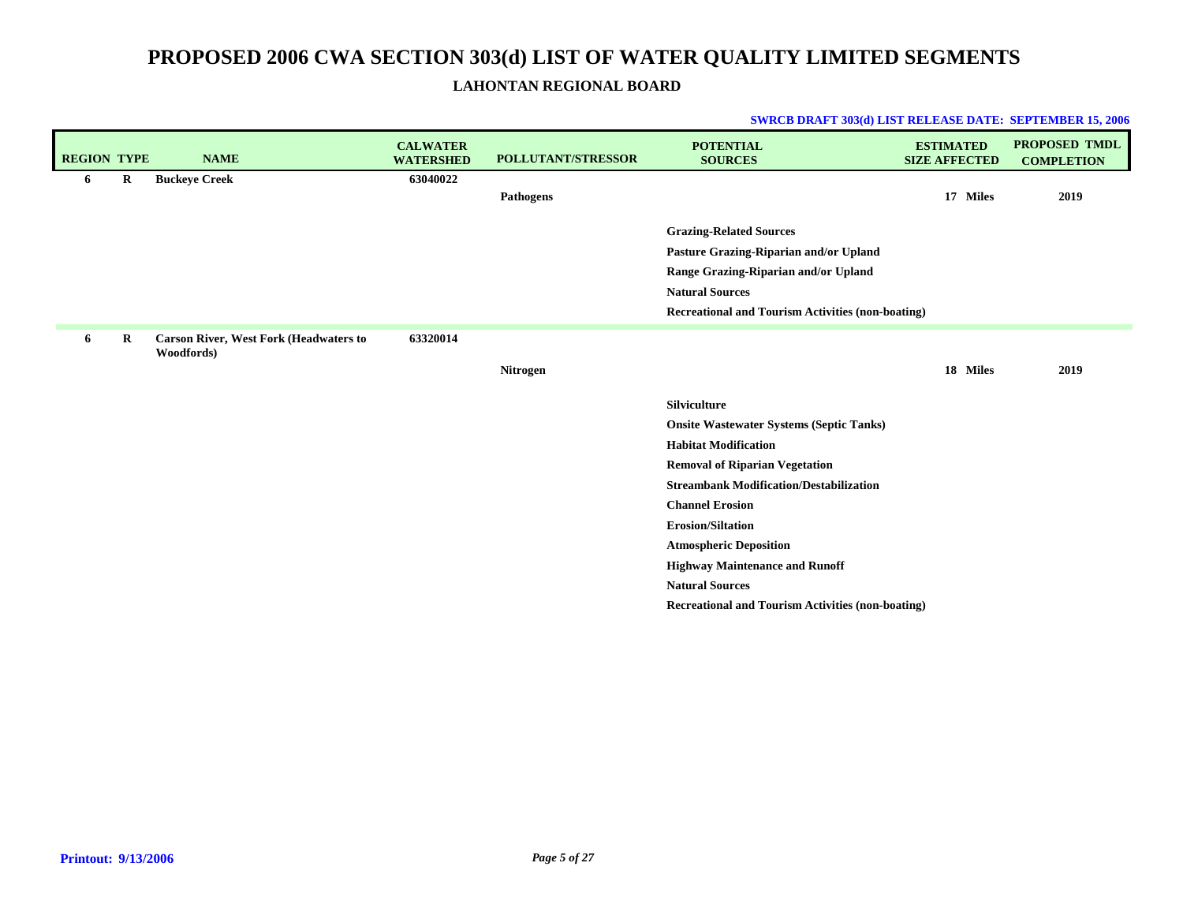| <b>REGION TYPE</b> |         | <b>NAME</b>                                                 | <b>CALWATER</b><br><b>WATERSHED</b> | <b>POLLUTANT/STRESSOR</b> | <b>POTENTIAL</b><br><b>SOURCES</b>                                       | <b>ESTIMATED</b><br><b>SIZE AFFECTED</b> | <b>PROPOSED TMDL</b><br><b>COMPLETION</b> |
|--------------------|---------|-------------------------------------------------------------|-------------------------------------|---------------------------|--------------------------------------------------------------------------|------------------------------------------|-------------------------------------------|
| 6                  | $\bf R$ | <b>Buckeye Creek</b>                                        | 63040022                            | <b>Pathogens</b>          |                                                                          | 17 Miles                                 | 2019                                      |
|                    |         |                                                             |                                     |                           |                                                                          |                                          |                                           |
|                    |         |                                                             |                                     |                           | <b>Grazing-Related Sources</b>                                           |                                          |                                           |
|                    |         |                                                             |                                     |                           | Pasture Grazing-Riparian and/or Upland                                   |                                          |                                           |
|                    |         |                                                             |                                     |                           | Range Grazing-Riparian and/or Upland                                     |                                          |                                           |
|                    |         |                                                             |                                     |                           | <b>Natural Sources</b>                                                   |                                          |                                           |
|                    |         |                                                             |                                     |                           | <b>Recreational and Tourism Activities (non-boating)</b>                 |                                          |                                           |
| 6                  | R       | <b>Carson River, West Fork (Headwaters to</b><br>Woodfords) | 63320014                            |                           |                                                                          |                                          |                                           |
|                    |         |                                                             |                                     | <b>Nitrogen</b>           |                                                                          | 18 Miles                                 | 2019                                      |
|                    |         |                                                             |                                     |                           |                                                                          |                                          |                                           |
|                    |         |                                                             |                                     |                           | Silviculture                                                             |                                          |                                           |
|                    |         |                                                             |                                     |                           | <b>Onsite Wastewater Systems (Septic Tanks)</b>                          |                                          |                                           |
|                    |         |                                                             |                                     |                           | <b>Habitat Modification</b>                                              |                                          |                                           |
|                    |         |                                                             |                                     |                           | <b>Removal of Riparian Vegetation</b>                                    |                                          |                                           |
|                    |         |                                                             |                                     |                           | <b>Streambank Modification/Destabilization</b><br><b>Channel Erosion</b> |                                          |                                           |
|                    |         |                                                             |                                     |                           | <b>Erosion/Siltation</b>                                                 |                                          |                                           |
|                    |         |                                                             |                                     |                           | <b>Atmospheric Deposition</b>                                            |                                          |                                           |
|                    |         |                                                             |                                     |                           | <b>Highway Maintenance and Runoff</b>                                    |                                          |                                           |
|                    |         |                                                             |                                     |                           | <b>Natural Sources</b>                                                   |                                          |                                           |
|                    |         |                                                             |                                     |                           | <b>Recreational and Tourism Activities (non-boating)</b>                 |                                          |                                           |
|                    |         |                                                             |                                     |                           |                                                                          |                                          |                                           |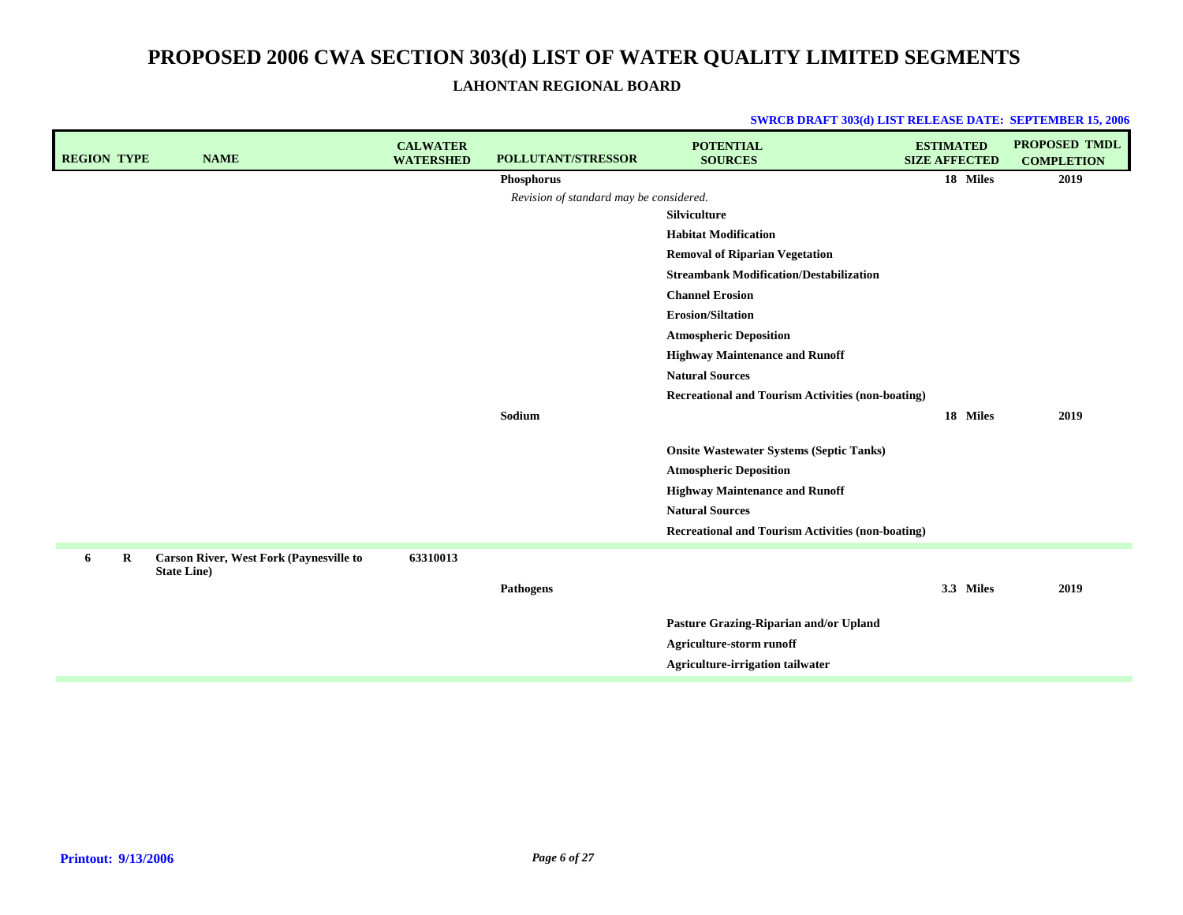| <b>SWRCB DRAFT 303(d) LIST RELEASE DATE: SEPTEMBER 15, 2006</b> |  |  |
|-----------------------------------------------------------------|--|--|
|-----------------------------------------------------------------|--|--|

| <b>REGION TYPE</b> | <b>NAME</b>                                                           | <b>CALWATER</b><br><b>WATERSHED</b> | <b>POLLUTANT/STRESSOR</b>               | <b>POTENTIAL</b><br><b>SOURCES</b>                       | <b>ESTIMATED</b><br><b>SIZE AFFECTED</b> | <b>PROPOSED TMDL</b><br><b>COMPLETION</b> |
|--------------------|-----------------------------------------------------------------------|-------------------------------------|-----------------------------------------|----------------------------------------------------------|------------------------------------------|-------------------------------------------|
|                    |                                                                       |                                     | Phosphorus                              |                                                          | 18 Miles                                 | 2019                                      |
|                    |                                                                       |                                     | Revision of standard may be considered. |                                                          |                                          |                                           |
|                    |                                                                       |                                     |                                         | <b>Silviculture</b>                                      |                                          |                                           |
|                    |                                                                       |                                     |                                         | <b>Habitat Modification</b>                              |                                          |                                           |
|                    |                                                                       |                                     |                                         | <b>Removal of Riparian Vegetation</b>                    |                                          |                                           |
|                    |                                                                       |                                     |                                         | <b>Streambank Modification/Destabilization</b>           |                                          |                                           |
|                    |                                                                       |                                     |                                         | <b>Channel Erosion</b>                                   |                                          |                                           |
|                    |                                                                       |                                     |                                         | <b>Erosion/Siltation</b>                                 |                                          |                                           |
|                    |                                                                       |                                     |                                         | <b>Atmospheric Deposition</b>                            |                                          |                                           |
|                    |                                                                       |                                     |                                         | <b>Highway Maintenance and Runoff</b>                    |                                          |                                           |
|                    |                                                                       |                                     |                                         | <b>Natural Sources</b>                                   |                                          |                                           |
|                    |                                                                       |                                     |                                         | <b>Recreational and Tourism Activities (non-boating)</b> |                                          |                                           |
|                    |                                                                       |                                     | Sodium                                  |                                                          | 18 Miles                                 | 2019                                      |
|                    |                                                                       |                                     |                                         | <b>Onsite Wastewater Systems (Septic Tanks)</b>          |                                          |                                           |
|                    |                                                                       |                                     |                                         | <b>Atmospheric Deposition</b>                            |                                          |                                           |
|                    |                                                                       |                                     |                                         | <b>Highway Maintenance and Runoff</b>                    |                                          |                                           |
|                    |                                                                       |                                     |                                         | <b>Natural Sources</b>                                   |                                          |                                           |
|                    |                                                                       |                                     |                                         | <b>Recreational and Tourism Activities (non-boating)</b> |                                          |                                           |
| R<br>6             | <b>Carson River, West Fork (Paynesville to</b><br><b>State Line</b> ) | 63310013                            |                                         |                                                          |                                          |                                           |
|                    |                                                                       |                                     | Pathogens                               |                                                          | 3.3 Miles                                | 2019                                      |
|                    |                                                                       |                                     |                                         | Pasture Grazing-Riparian and/or Upland                   |                                          |                                           |
|                    |                                                                       |                                     |                                         | Agriculture-storm runoff                                 |                                          |                                           |
|                    |                                                                       |                                     |                                         | <b>Agriculture-irrigation tailwater</b>                  |                                          |                                           |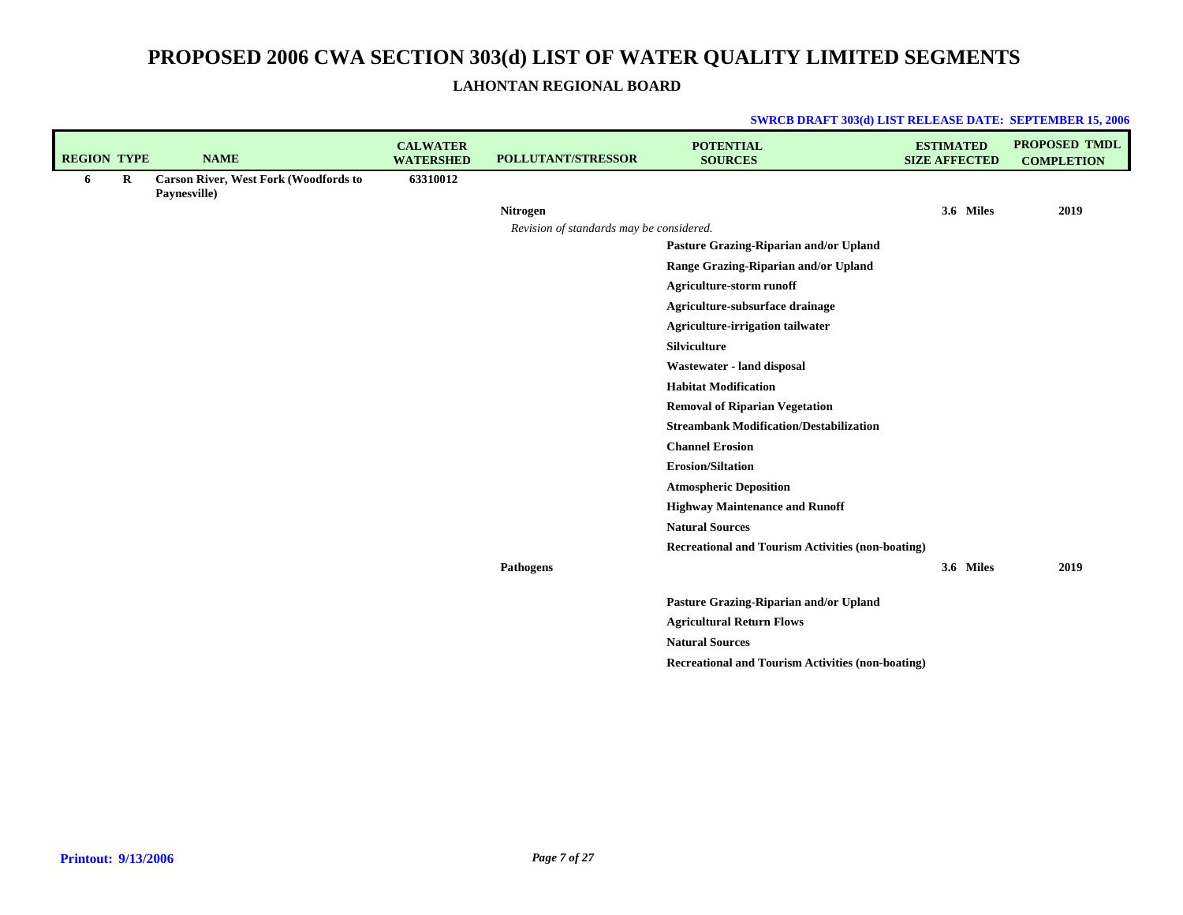| <b>REGION TYPE</b> |   | <b>NAME</b>                                                  | <b>CALWATER</b><br><b>WATERSHED</b> | <b>POLLUTANT/STRESSOR</b>                | <b>POTENTIAL</b><br><b>SOURCES</b>                       | <b>ESTIMATED</b><br><b>SIZE AFFECTED</b> | <b>PROPOSED TMDL</b><br><b>COMPLETION</b> |
|--------------------|---|--------------------------------------------------------------|-------------------------------------|------------------------------------------|----------------------------------------------------------|------------------------------------------|-------------------------------------------|
| 6                  | R | <b>Carson River, West Fork (Woodfords to</b><br>Paynesville) | 63310012                            |                                          |                                                          |                                          |                                           |
|                    |   |                                                              |                                     | <b>Nitrogen</b>                          |                                                          | 3.6 Miles                                | 2019                                      |
|                    |   |                                                              |                                     | Revision of standards may be considered. |                                                          |                                          |                                           |
|                    |   |                                                              |                                     |                                          | Pasture Grazing-Riparian and/or Upland                   |                                          |                                           |
|                    |   |                                                              |                                     |                                          | Range Grazing-Riparian and/or Upland                     |                                          |                                           |
|                    |   |                                                              |                                     |                                          | Agriculture-storm runoff                                 |                                          |                                           |
|                    |   |                                                              |                                     |                                          | Agriculture-subsurface drainage                          |                                          |                                           |
|                    |   |                                                              |                                     |                                          | Agriculture-irrigation tailwater                         |                                          |                                           |
|                    |   |                                                              |                                     |                                          | Silviculture                                             |                                          |                                           |
|                    |   |                                                              |                                     |                                          | Wastewater - land disposal                               |                                          |                                           |
|                    |   |                                                              |                                     |                                          | <b>Habitat Modification</b>                              |                                          |                                           |
|                    |   |                                                              |                                     |                                          | <b>Removal of Riparian Vegetation</b>                    |                                          |                                           |
|                    |   |                                                              |                                     |                                          | <b>Streambank Modification/Destabilization</b>           |                                          |                                           |
|                    |   |                                                              |                                     |                                          | <b>Channel Erosion</b>                                   |                                          |                                           |
|                    |   |                                                              |                                     |                                          | <b>Erosion/Siltation</b>                                 |                                          |                                           |
|                    |   |                                                              |                                     |                                          | <b>Atmospheric Deposition</b>                            |                                          |                                           |
|                    |   |                                                              |                                     |                                          | <b>Highway Maintenance and Runoff</b>                    |                                          |                                           |
|                    |   |                                                              |                                     |                                          | <b>Natural Sources</b>                                   |                                          |                                           |
|                    |   |                                                              |                                     |                                          | <b>Recreational and Tourism Activities (non-boating)</b> |                                          |                                           |
|                    |   |                                                              |                                     | Pathogens                                |                                                          | 3.6 Miles                                | 2019                                      |
|                    |   |                                                              |                                     |                                          | Pasture Grazing-Riparian and/or Upland                   |                                          |                                           |
|                    |   |                                                              |                                     |                                          | <b>Agricultural Return Flows</b>                         |                                          |                                           |
|                    |   |                                                              |                                     |                                          | <b>Natural Sources</b>                                   |                                          |                                           |
|                    |   |                                                              |                                     |                                          | <b>Recreational and Tourism Activities (non-boating)</b> |                                          |                                           |
|                    |   |                                                              |                                     |                                          |                                                          |                                          |                                           |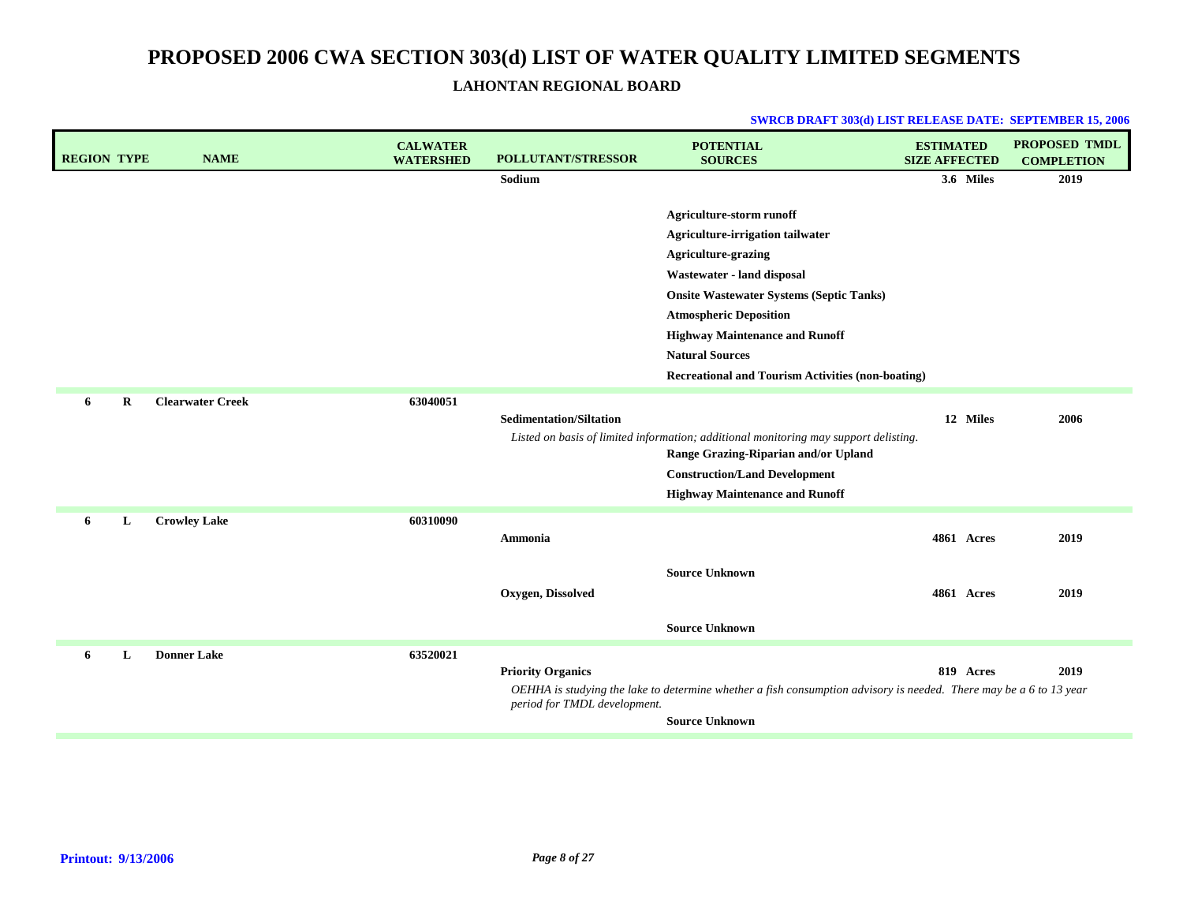| <b>REGION TYPE</b> | <b>NAME</b>             | <b>CALWATER</b><br><b>WATERSHED</b> | <b>POLLUTANT/STRESSOR</b>                                | <b>POTENTIAL</b><br><b>SOURCES</b>                                                                                                                                                                                                                                                                                                                 | <b>ESTIMATED</b><br><b>SIZE AFFECTED</b> | <b>PROPOSED TMDL</b><br><b>COMPLETION</b> |
|--------------------|-------------------------|-------------------------------------|----------------------------------------------------------|----------------------------------------------------------------------------------------------------------------------------------------------------------------------------------------------------------------------------------------------------------------------------------------------------------------------------------------------------|------------------------------------------|-------------------------------------------|
|                    |                         |                                     | Sodium                                                   |                                                                                                                                                                                                                                                                                                                                                    | 3.6 Miles                                | 2019                                      |
|                    |                         |                                     |                                                          | Agriculture-storm runoff<br><b>Agriculture-irrigation tailwater</b><br><b>Agriculture-grazing</b><br>Wastewater - land disposal<br><b>Onsite Wastewater Systems (Septic Tanks)</b><br><b>Atmospheric Deposition</b><br><b>Highway Maintenance and Runoff</b><br><b>Natural Sources</b><br><b>Recreational and Tourism Activities (non-boating)</b> |                                          |                                           |
| R<br>6             | <b>Clearwater Creek</b> | 63040051                            | <b>Sedimentation/Siltation</b>                           | Listed on basis of limited information; additional monitoring may support delisting.<br>Range Grazing-Riparian and/or Upland<br><b>Construction/Land Development</b><br><b>Highway Maintenance and Runoff</b>                                                                                                                                      | 12 Miles                                 | 2006                                      |
| L<br>6             | <b>Crowley Lake</b>     | 60310090                            | Ammonia                                                  |                                                                                                                                                                                                                                                                                                                                                    | <b>4861 Acres</b>                        | 2019                                      |
|                    |                         |                                     | Oxygen, Dissolved                                        | <b>Source Unknown</b><br><b>Source Unknown</b>                                                                                                                                                                                                                                                                                                     | <b>4861 Acres</b>                        | 2019                                      |
| 6<br>L             | <b>Donner Lake</b>      | 63520021                            | <b>Priority Organics</b><br>period for TMDL development. | OEHHA is studying the lake to determine whether a fish consumption advisory is needed. There may be a 6 to 13 year<br><b>Source Unknown</b>                                                                                                                                                                                                        | 819 Acres                                | 2019                                      |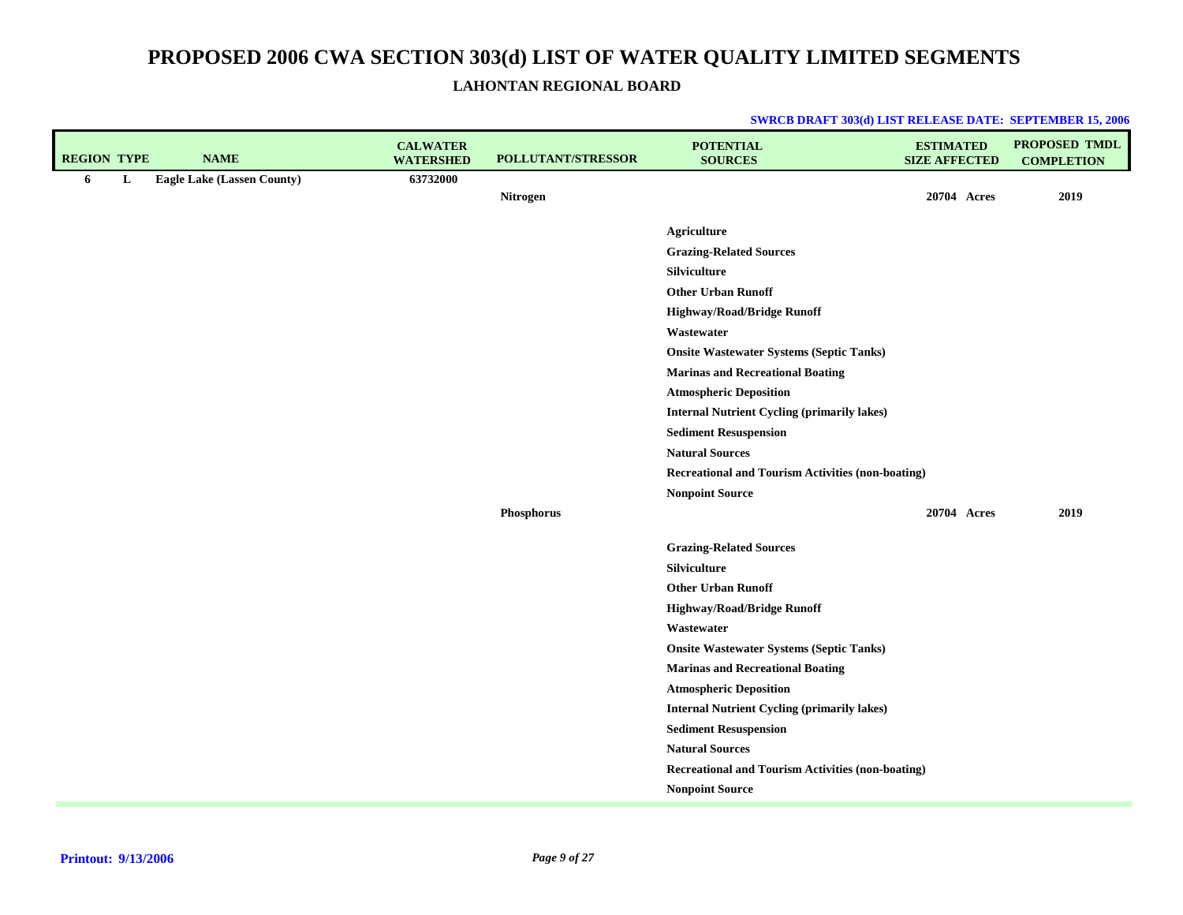| <b>REGION TYPE</b> |   | <b>NAME</b>                | <b>CALWATER</b><br><b>WATERSHED</b> | <b>POLLUTANT/STRESSOR</b> | <b>POTENTIAL</b><br><b>SOURCES</b>                       | <b>ESTIMATED</b><br><b>SIZE AFFECTED</b> | PROPOSED TMDL<br><b>COMPLETION</b> |
|--------------------|---|----------------------------|-------------------------------------|---------------------------|----------------------------------------------------------|------------------------------------------|------------------------------------|
| 6                  | L | Eagle Lake (Lassen County) | 63732000                            |                           |                                                          |                                          |                                    |
|                    |   |                            |                                     | <b>Nitrogen</b>           |                                                          | 20704 Acres                              | 2019                               |
|                    |   |                            |                                     |                           | <b>Agriculture</b>                                       |                                          |                                    |
|                    |   |                            |                                     |                           | <b>Grazing-Related Sources</b>                           |                                          |                                    |
|                    |   |                            |                                     |                           | Silviculture                                             |                                          |                                    |
|                    |   |                            |                                     |                           | <b>Other Urban Runoff</b>                                |                                          |                                    |
|                    |   |                            |                                     |                           | <b>Highway/Road/Bridge Runoff</b>                        |                                          |                                    |
|                    |   |                            |                                     |                           | Wastewater                                               |                                          |                                    |
|                    |   |                            |                                     |                           | <b>Onsite Wastewater Systems (Septic Tanks)</b>          |                                          |                                    |
|                    |   |                            |                                     |                           | <b>Marinas and Recreational Boating</b>                  |                                          |                                    |
|                    |   |                            |                                     |                           | <b>Atmospheric Deposition</b>                            |                                          |                                    |
|                    |   |                            |                                     |                           | <b>Internal Nutrient Cycling (primarily lakes)</b>       |                                          |                                    |
|                    |   |                            |                                     |                           | <b>Sediment Resuspension</b>                             |                                          |                                    |
|                    |   |                            |                                     |                           | <b>Natural Sources</b>                                   |                                          |                                    |
|                    |   |                            |                                     |                           | <b>Recreational and Tourism Activities (non-boating)</b> |                                          |                                    |
|                    |   |                            |                                     |                           | <b>Nonpoint Source</b>                                   |                                          |                                    |
|                    |   |                            |                                     | Phosphorus                |                                                          | 20704 Acres                              | 2019                               |
|                    |   |                            |                                     |                           | <b>Grazing-Related Sources</b>                           |                                          |                                    |
|                    |   |                            |                                     |                           | <b>Silviculture</b>                                      |                                          |                                    |
|                    |   |                            |                                     |                           | <b>Other Urban Runoff</b>                                |                                          |                                    |
|                    |   |                            |                                     |                           | <b>Highway/Road/Bridge Runoff</b>                        |                                          |                                    |
|                    |   |                            |                                     |                           | Wastewater                                               |                                          |                                    |
|                    |   |                            |                                     |                           | <b>Onsite Wastewater Systems (Septic Tanks)</b>          |                                          |                                    |
|                    |   |                            |                                     |                           | <b>Marinas and Recreational Boating</b>                  |                                          |                                    |
|                    |   |                            |                                     |                           | <b>Atmospheric Deposition</b>                            |                                          |                                    |
|                    |   |                            |                                     |                           | <b>Internal Nutrient Cycling (primarily lakes)</b>       |                                          |                                    |
|                    |   |                            |                                     |                           | <b>Sediment Resuspension</b>                             |                                          |                                    |
|                    |   |                            |                                     |                           | <b>Natural Sources</b>                                   |                                          |                                    |
|                    |   |                            |                                     |                           | <b>Recreational and Tourism Activities (non-boating)</b> |                                          |                                    |
|                    |   |                            |                                     |                           | <b>Nonpoint Source</b>                                   |                                          |                                    |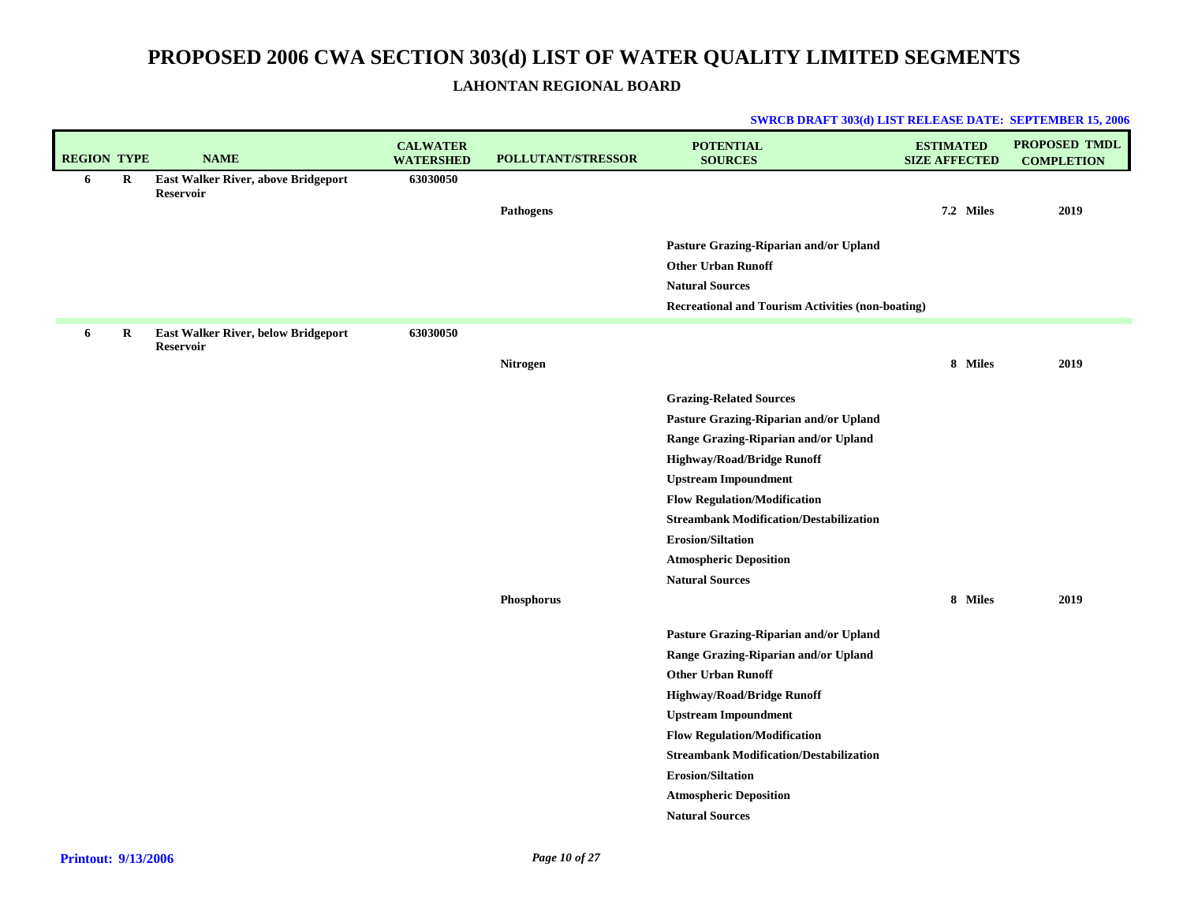| <b>REGION TYPE</b> |         | <b>NAME</b>                                             | <b>CALWATER</b><br><b>WATERSHED</b> | <b>POLLUTANT/STRESSOR</b> | <b>POTENTIAL</b><br><b>SOURCES</b>                                                    | <b>ESTIMATED</b><br><b>SIZE AFFECTED</b> | <b>PROPOSED TMDL</b><br><b>COMPLETION</b> |
|--------------------|---------|---------------------------------------------------------|-------------------------------------|---------------------------|---------------------------------------------------------------------------------------|------------------------------------------|-------------------------------------------|
| 6                  | $\bf R$ | East Walker River, above Bridgeport<br><b>Reservoir</b> | 63030050                            |                           |                                                                                       |                                          |                                           |
|                    |         |                                                         |                                     | Pathogens                 |                                                                                       | 7.2 Miles                                | 2019                                      |
|                    |         |                                                         |                                     |                           |                                                                                       |                                          |                                           |
|                    |         |                                                         |                                     |                           | Pasture Grazing-Riparian and/or Upland<br><b>Other Urban Runoff</b>                   |                                          |                                           |
|                    |         |                                                         |                                     |                           | <b>Natural Sources</b>                                                                |                                          |                                           |
|                    |         |                                                         |                                     |                           | <b>Recreational and Tourism Activities (non-boating)</b>                              |                                          |                                           |
|                    |         |                                                         |                                     |                           |                                                                                       |                                          |                                           |
| 6                  | R       | East Walker River, below Bridgeport<br><b>Reservoir</b> | 63030050                            |                           |                                                                                       |                                          |                                           |
|                    |         |                                                         |                                     | <b>Nitrogen</b>           |                                                                                       | 8 Miles                                  | 2019                                      |
|                    |         |                                                         |                                     |                           |                                                                                       |                                          |                                           |
|                    |         |                                                         |                                     |                           | <b>Grazing-Related Sources</b>                                                        |                                          |                                           |
|                    |         |                                                         |                                     |                           | Pasture Grazing-Riparian and/or Upland                                                |                                          |                                           |
|                    |         |                                                         |                                     |                           | Range Grazing-Riparian and/or Upland                                                  |                                          |                                           |
|                    |         |                                                         |                                     |                           | <b>Highway/Road/Bridge Runoff</b>                                                     |                                          |                                           |
|                    |         |                                                         |                                     |                           | <b>Upstream Impoundment</b>                                                           |                                          |                                           |
|                    |         |                                                         |                                     |                           | <b>Flow Regulation/Modification</b><br><b>Streambank Modification/Destabilization</b> |                                          |                                           |
|                    |         |                                                         |                                     |                           | <b>Erosion/Siltation</b>                                                              |                                          |                                           |
|                    |         |                                                         |                                     |                           | <b>Atmospheric Deposition</b>                                                         |                                          |                                           |
|                    |         |                                                         |                                     |                           | <b>Natural Sources</b>                                                                |                                          |                                           |
|                    |         |                                                         |                                     | Phosphorus                |                                                                                       | 8 Miles                                  | 2019                                      |
|                    |         |                                                         |                                     |                           |                                                                                       |                                          |                                           |
|                    |         |                                                         |                                     |                           | Pasture Grazing-Riparian and/or Upland                                                |                                          |                                           |
|                    |         |                                                         |                                     |                           | Range Grazing-Riparian and/or Upland                                                  |                                          |                                           |
|                    |         |                                                         |                                     |                           | <b>Other Urban Runoff</b>                                                             |                                          |                                           |
|                    |         |                                                         |                                     |                           | <b>Highway/Road/Bridge Runoff</b>                                                     |                                          |                                           |
|                    |         |                                                         |                                     |                           | <b>Upstream Impoundment</b>                                                           |                                          |                                           |
|                    |         |                                                         |                                     |                           | <b>Flow Regulation/Modification</b>                                                   |                                          |                                           |
|                    |         |                                                         |                                     |                           | <b>Streambank Modification/Destabilization</b>                                        |                                          |                                           |
|                    |         |                                                         |                                     |                           | <b>Erosion/Siltation</b>                                                              |                                          |                                           |
|                    |         |                                                         |                                     |                           | <b>Atmospheric Deposition</b>                                                         |                                          |                                           |
|                    |         |                                                         |                                     |                           | <b>Natural Sources</b>                                                                |                                          |                                           |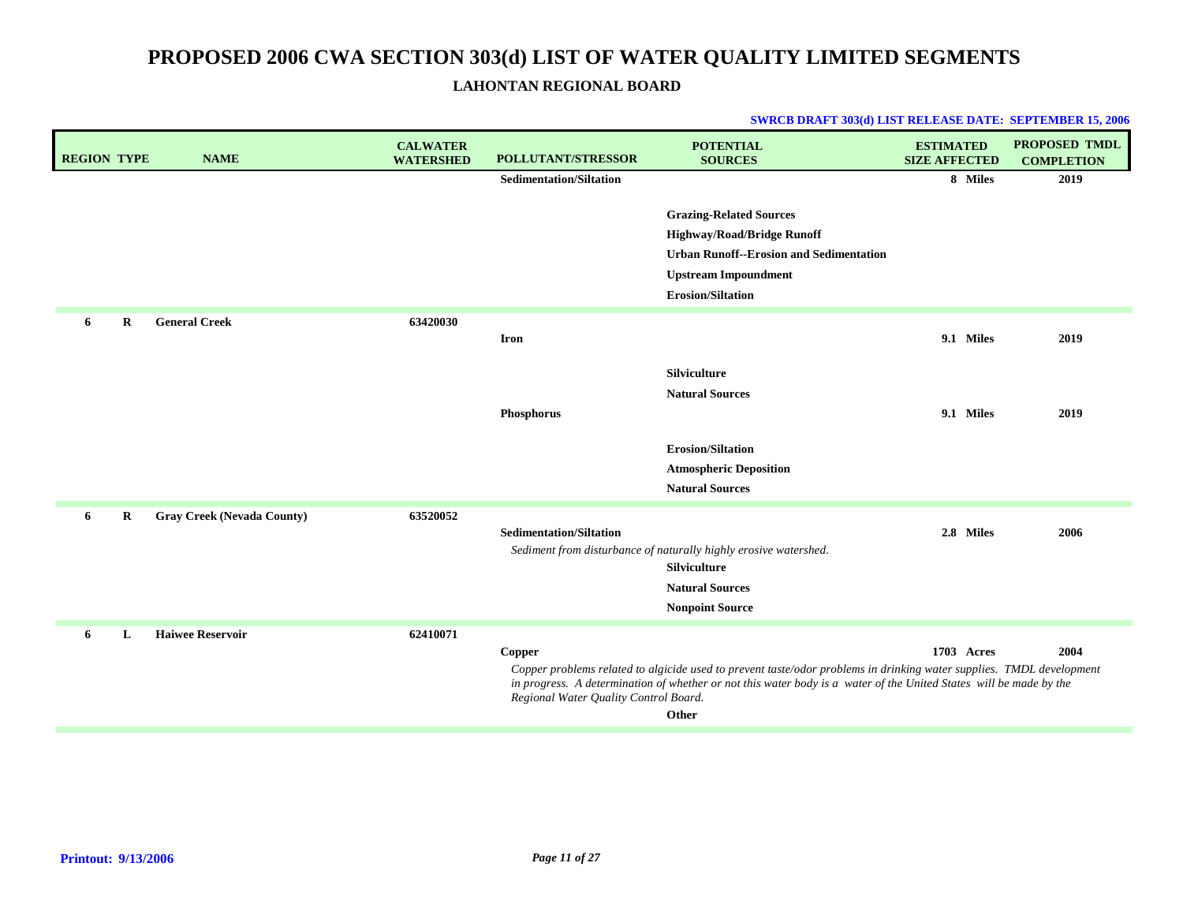| <b>REGION TYPE</b> |          | <b>NAME</b>                       | <b>CALWATER</b><br><b>WATERSHED</b> | POLLUTANT/STRESSOR                                     | <b>POTENTIAL</b><br><b>SOURCES</b>                                                                                                                                                                                                                  | <b>ESTIMATED</b><br><b>SIZE AFFECTED</b> | PROPOSED TMDL<br><b>COMPLETION</b> |
|--------------------|----------|-----------------------------------|-------------------------------------|--------------------------------------------------------|-----------------------------------------------------------------------------------------------------------------------------------------------------------------------------------------------------------------------------------------------------|------------------------------------------|------------------------------------|
|                    |          |                                   |                                     | <b>Sedimentation/Siltation</b>                         |                                                                                                                                                                                                                                                     | 8 Miles                                  | 2019                               |
|                    |          |                                   |                                     |                                                        | <b>Grazing-Related Sources</b><br><b>Highway/Road/Bridge Runoff</b><br><b>Urban Runoff--Erosion and Sedimentation</b><br><b>Upstream Impoundment</b><br><b>Erosion/Siltation</b>                                                                    |                                          |                                    |
| 6                  | $\bf{R}$ | <b>General Creek</b>              | 63420030                            | Iron                                                   |                                                                                                                                                                                                                                                     | 9.1 Miles                                | 2019                               |
|                    |          |                                   |                                     | Phosphorus                                             | <b>Silviculture</b><br><b>Natural Sources</b>                                                                                                                                                                                                       | 9.1 Miles                                | 2019                               |
|                    |          |                                   |                                     |                                                        | <b>Erosion/Siltation</b>                                                                                                                                                                                                                            |                                          |                                    |
|                    |          |                                   |                                     |                                                        | <b>Atmospheric Deposition</b><br><b>Natural Sources</b>                                                                                                                                                                                             |                                          |                                    |
| 6                  | R        | <b>Gray Creek (Nevada County)</b> | 63520052                            | <b>Sedimentation/Siltation</b>                         | Sediment from disturbance of naturally highly erosive watershed.<br><b>Silviculture</b><br><b>Natural Sources</b><br><b>Nonpoint Source</b>                                                                                                         | 2.8 Miles                                | 2006                               |
| 6                  | L        | <b>Haiwee Reservoir</b>           | 62410071                            | <b>Copper</b><br>Regional Water Quality Control Board. | Copper problems related to algicide used to prevent taste/odor problems in drinking water supplies. TMDL development<br>in progress. A determination of whether or not this water body is a water of the United States will be made by the<br>Other | 1703 Acres                               | 2004                               |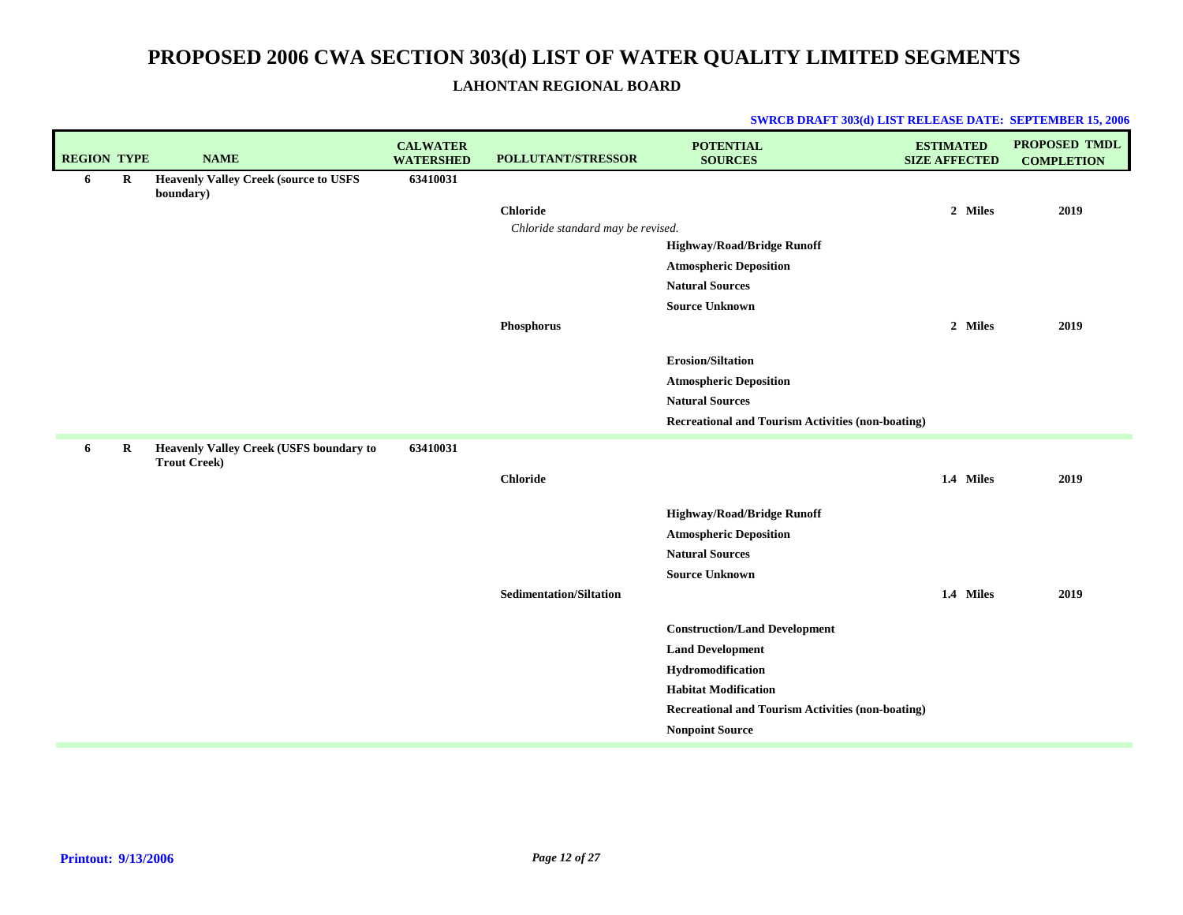| <b>REGION TYPE</b> |         | <b>NAME</b>                                               | <b>CALWATER</b><br><b>WATERSHED</b> | <b>POLLUTANT/STRESSOR</b>         | <b>POTENTIAL</b><br><b>SOURCES</b>                       | <b>ESTIMATED</b><br><b>SIZE AFFECTED</b> | <b>PROPOSED TMDL</b><br><b>COMPLETION</b> |
|--------------------|---------|-----------------------------------------------------------|-------------------------------------|-----------------------------------|----------------------------------------------------------|------------------------------------------|-------------------------------------------|
| 6                  | $\bf R$ | <b>Heavenly Valley Creek (source to USFS</b><br>boundary) | 63410031                            |                                   |                                                          |                                          |                                           |
|                    |         |                                                           |                                     | <b>Chloride</b>                   |                                                          | 2 Miles                                  | 2019                                      |
|                    |         |                                                           |                                     | Chloride standard may be revised. |                                                          |                                          |                                           |
|                    |         |                                                           |                                     |                                   | <b>Highway/Road/Bridge Runoff</b>                        |                                          |                                           |
|                    |         |                                                           |                                     |                                   | <b>Atmospheric Deposition</b>                            |                                          |                                           |
|                    |         |                                                           |                                     |                                   | <b>Natural Sources</b>                                   |                                          |                                           |
|                    |         |                                                           |                                     |                                   | <b>Source Unknown</b>                                    |                                          |                                           |
|                    |         |                                                           |                                     | Phosphorus                        |                                                          | 2 Miles                                  | 2019                                      |
|                    |         |                                                           |                                     |                                   | Erosion/Siltation                                        |                                          |                                           |
|                    |         |                                                           |                                     |                                   | <b>Atmospheric Deposition</b>                            |                                          |                                           |
|                    |         |                                                           |                                     |                                   | <b>Natural Sources</b>                                   |                                          |                                           |
|                    |         |                                                           |                                     |                                   | <b>Recreational and Tourism Activities (non-boating)</b> |                                          |                                           |
| 6                  | $\bf R$ | <b>Heavenly Valley Creek (USFS boundary to</b>            | 63410031                            |                                   |                                                          |                                          |                                           |
|                    |         | <b>Trout Creek)</b>                                       |                                     |                                   |                                                          |                                          |                                           |
|                    |         |                                                           |                                     | <b>Chloride</b>                   |                                                          | 1.4 Miles                                | 2019                                      |
|                    |         |                                                           |                                     |                                   | <b>Highway/Road/Bridge Runoff</b>                        |                                          |                                           |
|                    |         |                                                           |                                     |                                   | <b>Atmospheric Deposition</b>                            |                                          |                                           |
|                    |         |                                                           |                                     |                                   | <b>Natural Sources</b>                                   |                                          |                                           |
|                    |         |                                                           |                                     |                                   | <b>Source Unknown</b>                                    |                                          |                                           |
|                    |         |                                                           |                                     | <b>Sedimentation/Siltation</b>    |                                                          | 1.4 Miles                                | 2019                                      |
|                    |         |                                                           |                                     |                                   | <b>Construction/Land Development</b>                     |                                          |                                           |
|                    |         |                                                           |                                     |                                   | <b>Land Development</b>                                  |                                          |                                           |
|                    |         |                                                           |                                     |                                   | Hydromodification                                        |                                          |                                           |
|                    |         |                                                           |                                     |                                   | <b>Habitat Modification</b>                              |                                          |                                           |
|                    |         |                                                           |                                     |                                   | <b>Recreational and Tourism Activities (non-boating)</b> |                                          |                                           |
|                    |         |                                                           |                                     |                                   | <b>Nonpoint Source</b>                                   |                                          |                                           |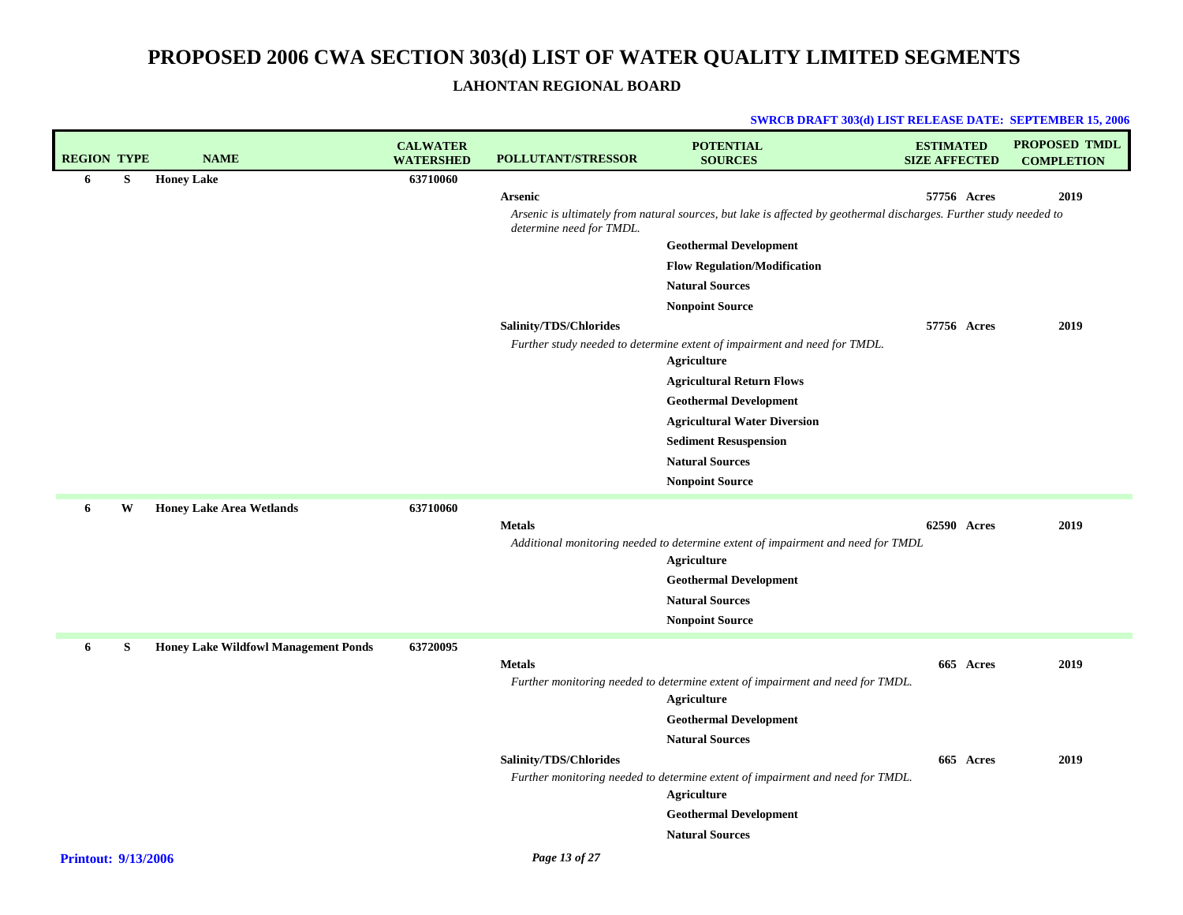| <b>REGION TYPE</b>         |   | <b>NAME</b>                                 | <b>CALWATER</b><br><b>WATERSHED</b> | POLLUTANT/STRESSOR       | <b>POTENTIAL</b><br><b>SOURCES</b>                                                                                 | <b>ESTIMATED</b><br><b>SIZE AFFECTED</b> | <b>PROPOSED TMDL</b><br><b>COMPLETION</b> |
|----------------------------|---|---------------------------------------------|-------------------------------------|--------------------------|--------------------------------------------------------------------------------------------------------------------|------------------------------------------|-------------------------------------------|
| 6                          | S | <b>Honey Lake</b>                           | 63710060                            |                          |                                                                                                                    |                                          |                                           |
|                            |   |                                             |                                     | <b>Arsenic</b>           |                                                                                                                    | 57756 Acres                              | 2019                                      |
|                            |   |                                             |                                     | determine need for TMDL. | Arsenic is ultimately from natural sources, but lake is affected by geothermal discharges. Further study needed to |                                          |                                           |
|                            |   |                                             |                                     |                          | <b>Geothermal Development</b>                                                                                      |                                          |                                           |
|                            |   |                                             |                                     |                          | <b>Flow Regulation/Modification</b>                                                                                |                                          |                                           |
|                            |   |                                             |                                     |                          | <b>Natural Sources</b>                                                                                             |                                          |                                           |
|                            |   |                                             |                                     |                          | <b>Nonpoint Source</b>                                                                                             |                                          |                                           |
|                            |   |                                             |                                     | Salinity/TDS/Chlorides   |                                                                                                                    | 57756 Acres                              | 2019                                      |
|                            |   |                                             |                                     |                          | Further study needed to determine extent of impairment and need for TMDL.                                          |                                          |                                           |
|                            |   |                                             |                                     |                          | <b>Agriculture</b>                                                                                                 |                                          |                                           |
|                            |   |                                             |                                     |                          | <b>Agricultural Return Flows</b>                                                                                   |                                          |                                           |
|                            |   |                                             |                                     |                          | <b>Geothermal Development</b>                                                                                      |                                          |                                           |
|                            |   |                                             |                                     |                          | <b>Agricultural Water Diversion</b>                                                                                |                                          |                                           |
|                            |   |                                             |                                     |                          | <b>Sediment Resuspension</b>                                                                                       |                                          |                                           |
|                            |   |                                             |                                     |                          | <b>Natural Sources</b>                                                                                             |                                          |                                           |
|                            |   |                                             |                                     |                          | <b>Nonpoint Source</b>                                                                                             |                                          |                                           |
| 6                          | W | <b>Honey Lake Area Wetlands</b>             | 63710060                            |                          |                                                                                                                    |                                          |                                           |
|                            |   |                                             |                                     | <b>Metals</b>            |                                                                                                                    | 62590 Acres                              | 2019                                      |
|                            |   |                                             |                                     |                          | Additional monitoring needed to determine extent of impairment and need for TMDL<br><b>Agriculture</b>             |                                          |                                           |
|                            |   |                                             |                                     |                          | <b>Geothermal Development</b>                                                                                      |                                          |                                           |
|                            |   |                                             |                                     |                          | <b>Natural Sources</b>                                                                                             |                                          |                                           |
|                            |   |                                             |                                     |                          | <b>Nonpoint Source</b>                                                                                             |                                          |                                           |
|                            |   |                                             |                                     |                          |                                                                                                                    |                                          |                                           |
| 6                          | S | <b>Honey Lake Wildfowl Management Ponds</b> | 63720095                            | <b>Metals</b>            |                                                                                                                    | 665 Acres                                | 2019                                      |
|                            |   |                                             |                                     |                          | Further monitoring needed to determine extent of impairment and need for TMDL.                                     |                                          |                                           |
|                            |   |                                             |                                     |                          | <b>Agriculture</b>                                                                                                 |                                          |                                           |
|                            |   |                                             |                                     |                          | <b>Geothermal Development</b>                                                                                      |                                          |                                           |
|                            |   |                                             |                                     |                          | <b>Natural Sources</b>                                                                                             |                                          |                                           |
|                            |   |                                             |                                     | Salinity/TDS/Chlorides   |                                                                                                                    | 665 Acres                                | 2019                                      |
|                            |   |                                             |                                     |                          | Further monitoring needed to determine extent of impairment and need for TMDL.                                     |                                          |                                           |
|                            |   |                                             |                                     |                          | <b>Agriculture</b>                                                                                                 |                                          |                                           |
|                            |   |                                             |                                     |                          | <b>Geothermal Development</b>                                                                                      |                                          |                                           |
|                            |   |                                             |                                     |                          | <b>Natural Sources</b>                                                                                             |                                          |                                           |
| <b>Printout: 9/13/2006</b> |   |                                             |                                     | Page 13 of 27            |                                                                                                                    |                                          |                                           |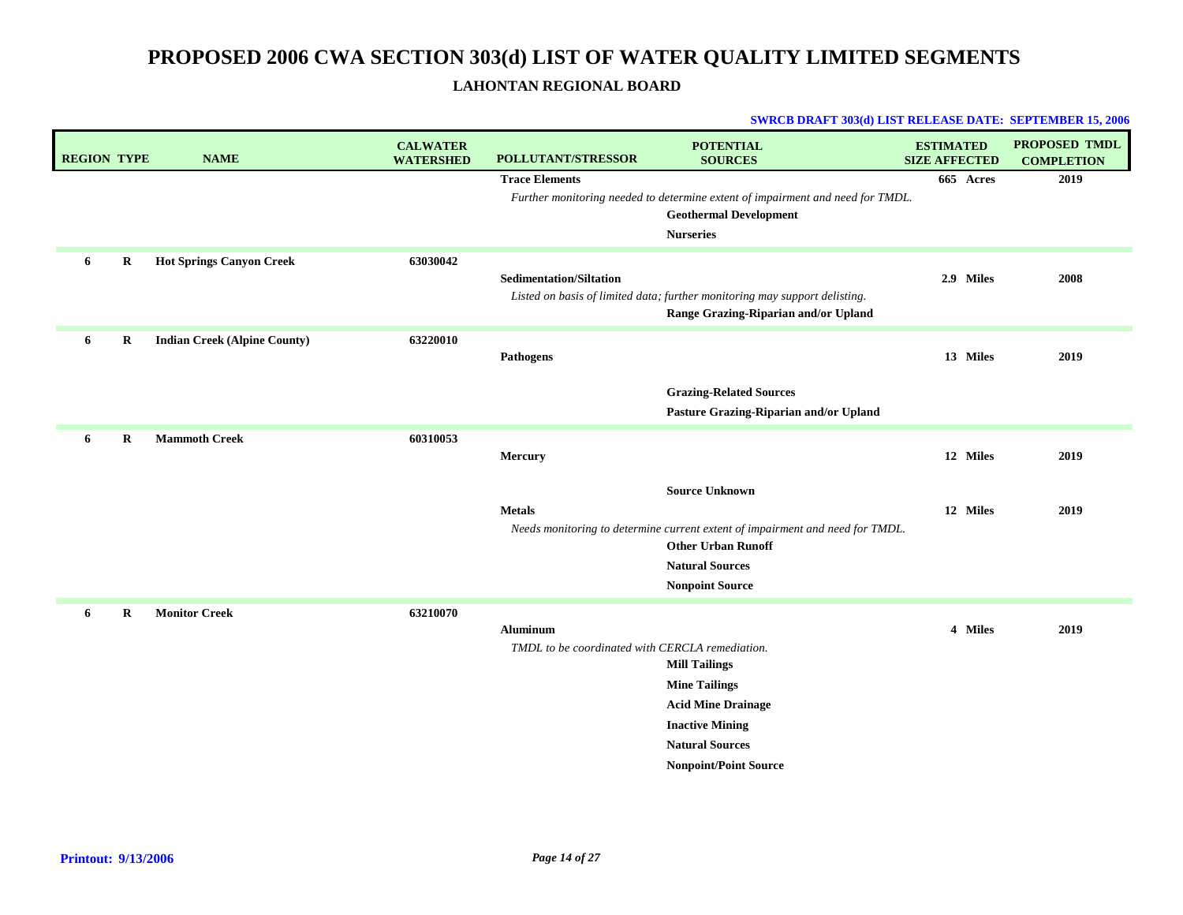| <b>REGION TYPE</b> |         | <b>NAME</b>                         | <b>CALWATER</b><br><b>WATERSHED</b> | POLLUTANT/STRESSOR                                                 | <b>POTENTIAL</b><br><b>SOURCES</b>                                                                                 | <b>ESTIMATED</b><br><b>SIZE AFFECTED</b> | <b>PROPOSED TMDL</b><br><b>COMPLETION</b> |
|--------------------|---------|-------------------------------------|-------------------------------------|--------------------------------------------------------------------|--------------------------------------------------------------------------------------------------------------------|------------------------------------------|-------------------------------------------|
|                    |         |                                     |                                     | <b>Trace Elements</b>                                              |                                                                                                                    | 665 Acres                                | 2019                                      |
|                    |         |                                     |                                     |                                                                    | Further monitoring needed to determine extent of impairment and need for TMDL.<br><b>Geothermal Development</b>    |                                          |                                           |
|                    |         |                                     |                                     |                                                                    | <b>Nurseries</b>                                                                                                   |                                          |                                           |
| 6                  | R       | <b>Hot Springs Canyon Creek</b>     | 63030042                            |                                                                    |                                                                                                                    |                                          |                                           |
|                    |         |                                     |                                     | <b>Sedimentation/Siltation</b>                                     |                                                                                                                    | 2.9 Miles                                | 2008                                      |
|                    |         |                                     |                                     |                                                                    | Listed on basis of limited data; further monitoring may support delisting.<br>Range Grazing-Riparian and/or Upland |                                          |                                           |
|                    |         |                                     |                                     |                                                                    |                                                                                                                    |                                          |                                           |
| 6                  | $\bf R$ | <b>Indian Creek (Alpine County)</b> | 63220010                            | <b>Pathogens</b>                                                   |                                                                                                                    | 13 Miles                                 | 2019                                      |
|                    |         |                                     |                                     |                                                                    |                                                                                                                    |                                          |                                           |
|                    |         |                                     |                                     |                                                                    | <b>Grazing-Related Sources</b>                                                                                     |                                          |                                           |
|                    |         |                                     |                                     |                                                                    | Pasture Grazing-Riparian and/or Upland                                                                             |                                          |                                           |
| 6                  | R       | <b>Mammoth Creek</b>                | 60310053                            |                                                                    |                                                                                                                    |                                          |                                           |
|                    |         |                                     |                                     | <b>Mercury</b>                                                     |                                                                                                                    | 12 Miles                                 | 2019                                      |
|                    |         |                                     |                                     |                                                                    | <b>Source Unknown</b>                                                                                              |                                          |                                           |
|                    |         |                                     |                                     | <b>Metals</b>                                                      |                                                                                                                    | 12 Miles                                 | 2019                                      |
|                    |         |                                     |                                     |                                                                    | Needs monitoring to determine current extent of impairment and need for TMDL.<br><b>Other Urban Runoff</b>         |                                          |                                           |
|                    |         |                                     |                                     |                                                                    | <b>Natural Sources</b>                                                                                             |                                          |                                           |
|                    |         |                                     |                                     |                                                                    | <b>Nonpoint Source</b>                                                                                             |                                          |                                           |
| 6                  | R       | <b>Monitor Creek</b>                | 63210070                            |                                                                    |                                                                                                                    |                                          |                                           |
|                    |         |                                     |                                     | <b>Aluminum</b><br>TMDL to be coordinated with CERCLA remediation. |                                                                                                                    | 4 Miles                                  | 2019                                      |
|                    |         |                                     |                                     |                                                                    | <b>Mill Tailings</b>                                                                                               |                                          |                                           |
|                    |         |                                     |                                     |                                                                    | <b>Mine Tailings</b>                                                                                               |                                          |                                           |
|                    |         |                                     |                                     |                                                                    | <b>Acid Mine Drainage</b>                                                                                          |                                          |                                           |
|                    |         |                                     |                                     |                                                                    | <b>Inactive Mining</b>                                                                                             |                                          |                                           |
|                    |         |                                     |                                     |                                                                    | <b>Natural Sources</b>                                                                                             |                                          |                                           |
|                    |         |                                     |                                     |                                                                    | <b>Nonpoint/Point Source</b>                                                                                       |                                          |                                           |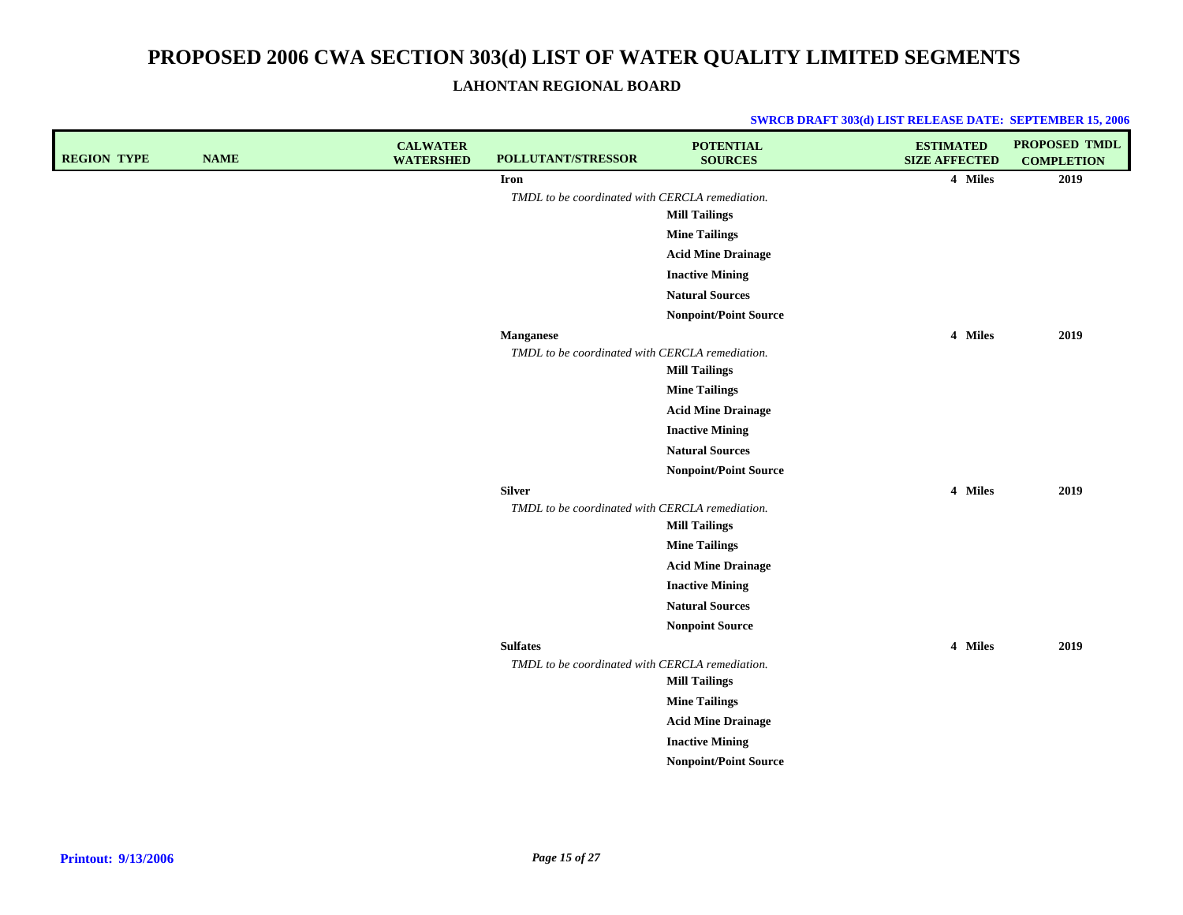| <b>REGION TYPE</b> | <b>NAME</b> | <b>CALWATER</b><br><b>WATERSHED</b> | POLLUTANT/STRESSOR                              | <b>POTENTIAL</b><br><b>SOURCES</b> | <b>ESTIMATED</b><br><b>SIZE AFFECTED</b> | <b>PROPOSED TMDL</b><br><b>COMPLETION</b> |
|--------------------|-------------|-------------------------------------|-------------------------------------------------|------------------------------------|------------------------------------------|-------------------------------------------|
|                    |             |                                     | <b>Iron</b>                                     |                                    | 4 Miles                                  | 2019                                      |
|                    |             |                                     | TMDL to be coordinated with CERCLA remediation. |                                    |                                          |                                           |
|                    |             |                                     |                                                 | <b>Mill Tailings</b>               |                                          |                                           |
|                    |             |                                     |                                                 | <b>Mine Tailings</b>               |                                          |                                           |
|                    |             |                                     |                                                 | <b>Acid Mine Drainage</b>          |                                          |                                           |
|                    |             |                                     |                                                 | <b>Inactive Mining</b>             |                                          |                                           |
|                    |             |                                     |                                                 | <b>Natural Sources</b>             |                                          |                                           |
|                    |             |                                     |                                                 | <b>Nonpoint/Point Source</b>       |                                          |                                           |
|                    |             |                                     | <b>Manganese</b>                                |                                    | 4 Miles                                  | 2019                                      |
|                    |             |                                     | TMDL to be coordinated with CERCLA remediation. | <b>Mill Tailings</b>               |                                          |                                           |
|                    |             |                                     |                                                 | <b>Mine Tailings</b>               |                                          |                                           |
|                    |             |                                     |                                                 | <b>Acid Mine Drainage</b>          |                                          |                                           |
|                    |             |                                     |                                                 | <b>Inactive Mining</b>             |                                          |                                           |
|                    |             |                                     |                                                 | <b>Natural Sources</b>             |                                          |                                           |
|                    |             |                                     |                                                 | <b>Nonpoint/Point Source</b>       |                                          |                                           |
|                    |             |                                     | <b>Silver</b>                                   |                                    | 4 Miles                                  | 2019                                      |
|                    |             |                                     | TMDL to be coordinated with CERCLA remediation. |                                    |                                          |                                           |
|                    |             |                                     |                                                 | <b>Mill Tailings</b>               |                                          |                                           |
|                    |             |                                     |                                                 | <b>Mine Tailings</b>               |                                          |                                           |
|                    |             |                                     |                                                 | <b>Acid Mine Drainage</b>          |                                          |                                           |
|                    |             |                                     |                                                 | <b>Inactive Mining</b>             |                                          |                                           |
|                    |             |                                     |                                                 | <b>Natural Sources</b>             |                                          |                                           |
|                    |             |                                     |                                                 | <b>Nonpoint Source</b>             |                                          |                                           |
|                    |             |                                     | <b>Sulfates</b>                                 |                                    | 4 Miles                                  | 2019                                      |
|                    |             |                                     | TMDL to be coordinated with CERCLA remediation. | <b>Mill Tailings</b>               |                                          |                                           |
|                    |             |                                     |                                                 | <b>Mine Tailings</b>               |                                          |                                           |
|                    |             |                                     |                                                 | <b>Acid Mine Drainage</b>          |                                          |                                           |
|                    |             |                                     |                                                 | <b>Inactive Mining</b>             |                                          |                                           |
|                    |             |                                     |                                                 | <b>Nonpoint/Point Source</b>       |                                          |                                           |
|                    |             |                                     |                                                 |                                    |                                          |                                           |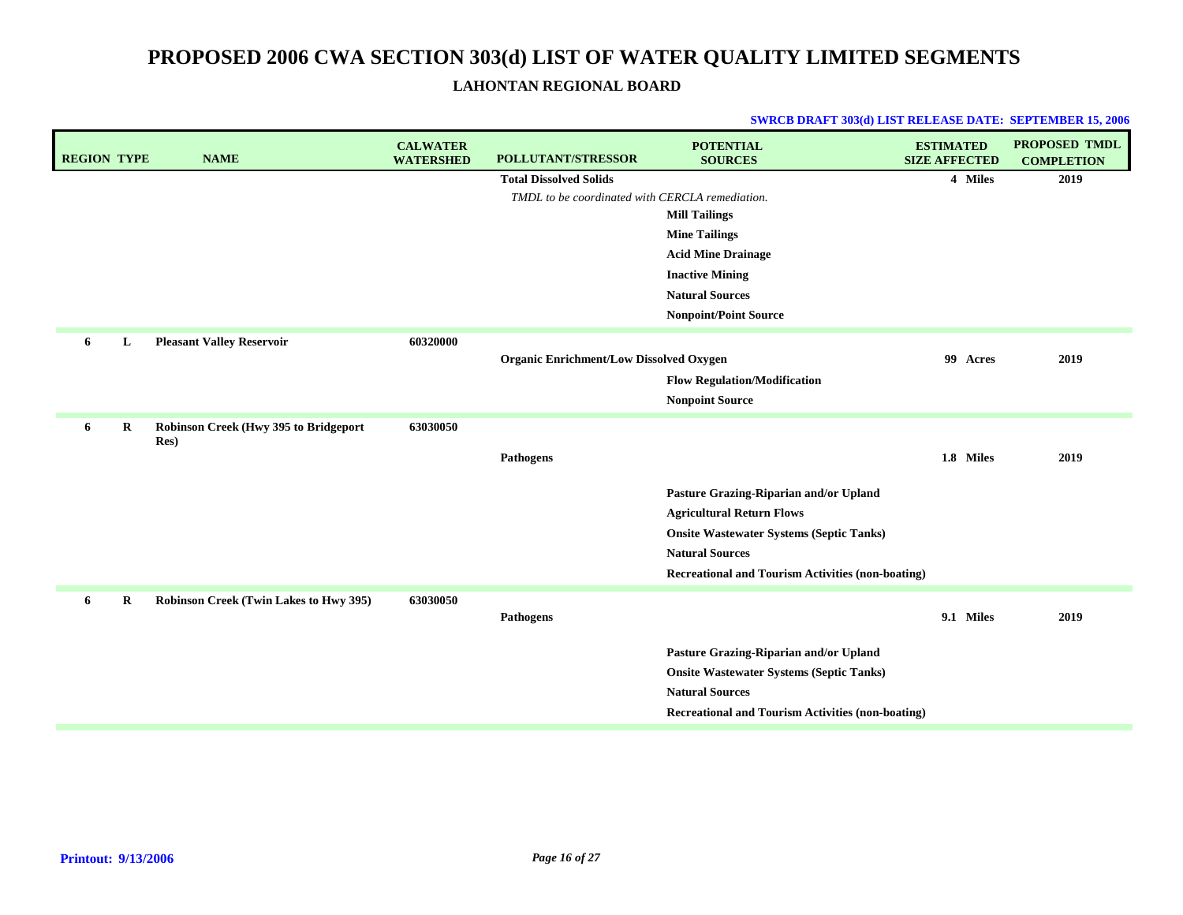| <b>REGION TYPE</b> |         | <b>NAME</b>                                   | <b>CALWATER</b><br><b>WATERSHED</b> | <b>POLLUTANT/STRESSOR</b>                       | <b>POTENTIAL</b><br><b>SOURCES</b>                       | <b>ESTIMATED</b><br><b>SIZE AFFECTED</b> | <b>PROPOSED TMDL</b><br><b>COMPLETION</b> |
|--------------------|---------|-----------------------------------------------|-------------------------------------|-------------------------------------------------|----------------------------------------------------------|------------------------------------------|-------------------------------------------|
|                    |         |                                               |                                     | <b>Total Dissolved Solids</b>                   |                                                          | 4 Miles                                  | 2019                                      |
|                    |         |                                               |                                     | TMDL to be coordinated with CERCLA remediation. |                                                          |                                          |                                           |
|                    |         |                                               |                                     |                                                 | <b>Mill Tailings</b>                                     |                                          |                                           |
|                    |         |                                               |                                     |                                                 | <b>Mine Tailings</b>                                     |                                          |                                           |
|                    |         |                                               |                                     |                                                 | <b>Acid Mine Drainage</b>                                |                                          |                                           |
|                    |         |                                               |                                     |                                                 | <b>Inactive Mining</b>                                   |                                          |                                           |
|                    |         |                                               |                                     |                                                 | <b>Natural Sources</b>                                   |                                          |                                           |
|                    |         |                                               |                                     |                                                 | <b>Nonpoint/Point Source</b>                             |                                          |                                           |
| 6                  | L       | <b>Pleasant Valley Reservoir</b>              | 60320000                            |                                                 |                                                          |                                          |                                           |
|                    |         |                                               |                                     | <b>Organic Enrichment/Low Dissolved Oxygen</b>  |                                                          | 99 Acres                                 | 2019                                      |
|                    |         |                                               |                                     |                                                 | <b>Flow Regulation/Modification</b>                      |                                          |                                           |
|                    |         |                                               |                                     |                                                 | <b>Nonpoint Source</b>                                   |                                          |                                           |
| 6                  | $\bf R$ | Robinson Creek (Hwy 395 to Bridgeport<br>Res) | 63030050                            |                                                 |                                                          |                                          |                                           |
|                    |         |                                               |                                     | <b>Pathogens</b>                                |                                                          | 1.8 Miles                                | 2019                                      |
|                    |         |                                               |                                     |                                                 | Pasture Grazing-Riparian and/or Upland                   |                                          |                                           |
|                    |         |                                               |                                     |                                                 | <b>Agricultural Return Flows</b>                         |                                          |                                           |
|                    |         |                                               |                                     |                                                 | <b>Onsite Wastewater Systems (Septic Tanks)</b>          |                                          |                                           |
|                    |         |                                               |                                     |                                                 | <b>Natural Sources</b>                                   |                                          |                                           |
|                    |         |                                               |                                     |                                                 | <b>Recreational and Tourism Activities (non-boating)</b> |                                          |                                           |
| 6                  | R       | Robinson Creek (Twin Lakes to Hwy 395)        | 63030050                            |                                                 |                                                          |                                          |                                           |
|                    |         |                                               |                                     | <b>Pathogens</b>                                |                                                          | 9.1 Miles                                | 2019                                      |
|                    |         |                                               |                                     |                                                 | Pasture Grazing-Riparian and/or Upland                   |                                          |                                           |
|                    |         |                                               |                                     |                                                 | <b>Onsite Wastewater Systems (Septic Tanks)</b>          |                                          |                                           |
|                    |         |                                               |                                     |                                                 | <b>Natural Sources</b>                                   |                                          |                                           |
|                    |         |                                               |                                     |                                                 | <b>Recreational and Tourism Activities (non-boating)</b> |                                          |                                           |
|                    |         |                                               |                                     |                                                 |                                                          |                                          |                                           |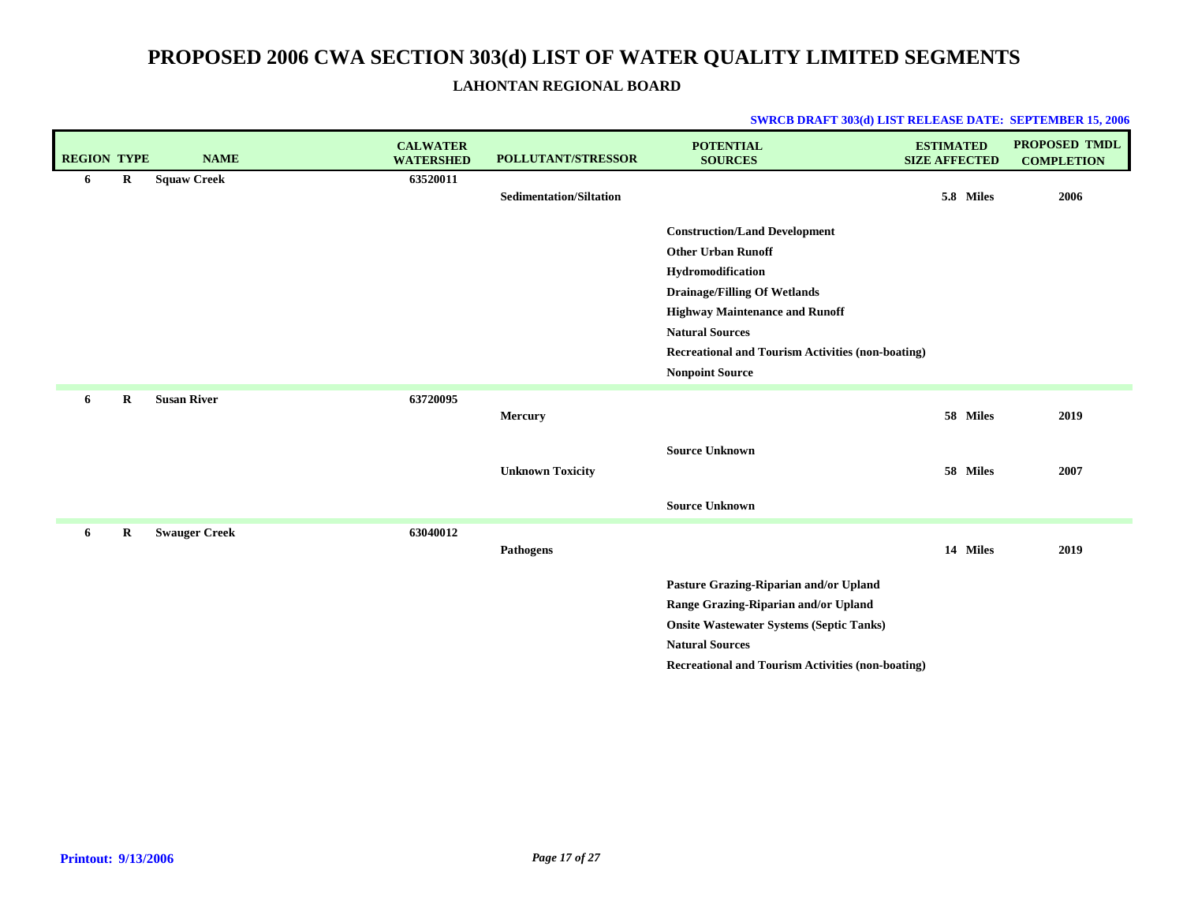| <b>REGION TYPE</b> |         | <b>NAME</b>          | <b>CALWATER</b><br><b>WATERSHED</b> | <b>POLLUTANT/STRESSOR</b>      | <b>POTENTIAL</b><br><b>SOURCES</b>                                                                                                                                                                                                                                                     | <b>ESTIMATED</b><br><b>SIZE AFFECTED</b> | PROPOSED TMDL<br><b>COMPLETION</b> |
|--------------------|---------|----------------------|-------------------------------------|--------------------------------|----------------------------------------------------------------------------------------------------------------------------------------------------------------------------------------------------------------------------------------------------------------------------------------|------------------------------------------|------------------------------------|
| 6                  | $\bf R$ | <b>Squaw Creek</b>   | 63520011                            | <b>Sedimentation/Siltation</b> |                                                                                                                                                                                                                                                                                        | 5.8 Miles                                | 2006                               |
|                    |         |                      |                                     |                                | <b>Construction/Land Development</b><br><b>Other Urban Runoff</b><br>Hydromodification<br><b>Drainage/Filling Of Wetlands</b><br><b>Highway Maintenance and Runoff</b><br><b>Natural Sources</b><br><b>Recreational and Tourism Activities (non-boating)</b><br><b>Nonpoint Source</b> |                                          |                                    |
| 6                  | $\bf R$ | <b>Susan River</b>   | 63720095                            | <b>Mercury</b>                 |                                                                                                                                                                                                                                                                                        | 58 Miles                                 | 2019                               |
|                    |         |                      |                                     | <b>Unknown Toxicity</b>        | <b>Source Unknown</b><br><b>Source Unknown</b>                                                                                                                                                                                                                                         | 58 Miles                                 | 2007                               |
| 6                  | $\bf R$ | <b>Swauger Creek</b> | 63040012                            | <b>Pathogens</b>               |                                                                                                                                                                                                                                                                                        | 14 Miles                                 | 2019                               |
|                    |         |                      |                                     |                                | Pasture Grazing-Riparian and/or Upland<br>Range Grazing-Riparian and/or Upland<br><b>Onsite Wastewater Systems (Septic Tanks)</b><br><b>Natural Sources</b><br><b>Recreational and Tourism Activities (non-boating)</b>                                                                |                                          |                                    |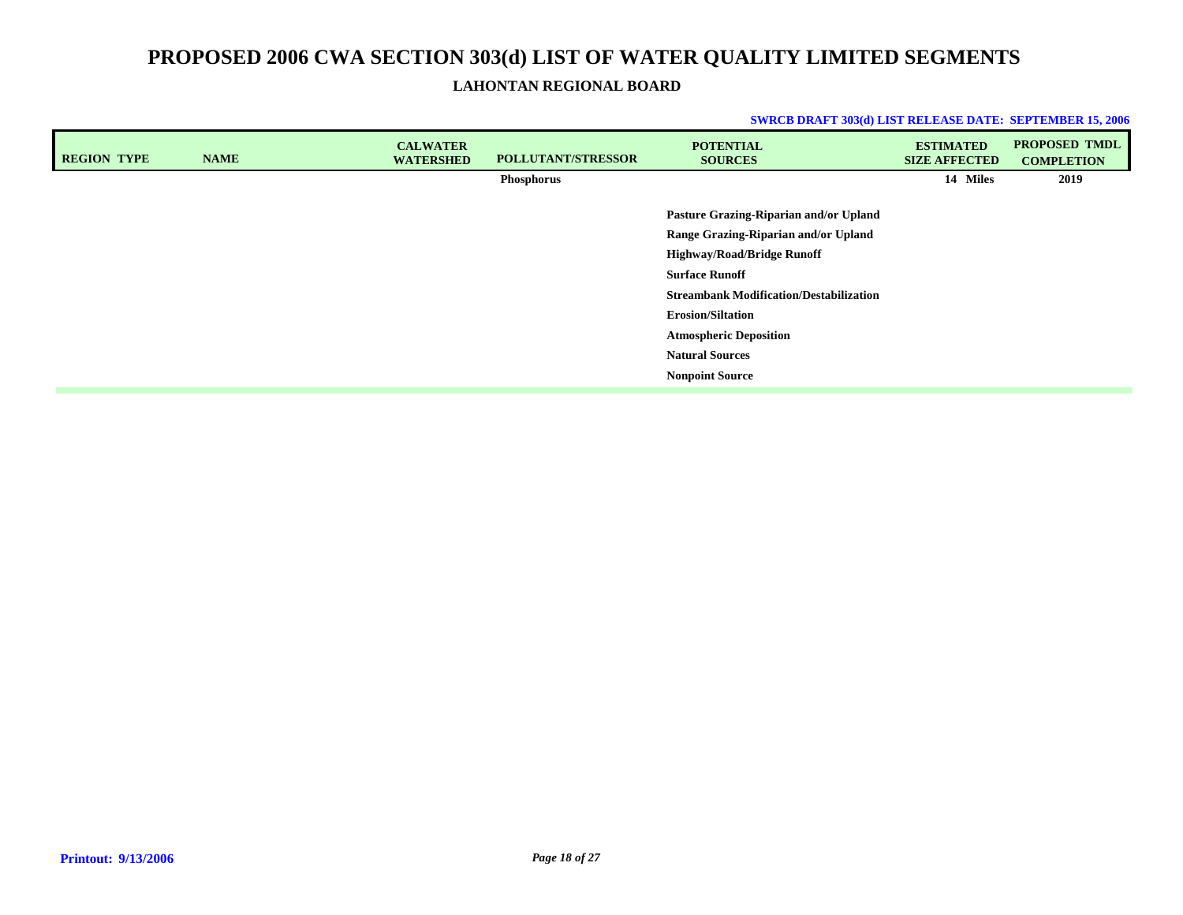| <b>REGION TYPE</b> | <b>NAME</b> | <b>CALWATER</b><br><b>WATERSHED</b> | POLLUTANT/STRESSOR | <b>POTENTIAL</b><br><b>SOURCES</b>                                                                                                                                                                                                                                                                              | <b>ESTIMATED</b><br><b>SIZE AFFECTED</b> | <b>PROPOSED TMDL</b><br><b>COMPLETION</b> |
|--------------------|-------------|-------------------------------------|--------------------|-----------------------------------------------------------------------------------------------------------------------------------------------------------------------------------------------------------------------------------------------------------------------------------------------------------------|------------------------------------------|-------------------------------------------|
|                    |             |                                     | Phosphorus         |                                                                                                                                                                                                                                                                                                                 | 14 Miles                                 | 2019                                      |
|                    |             |                                     |                    | Pasture Grazing-Riparian and/or Upland<br>Range Grazing-Riparian and/or Upland<br><b>Highway/Road/Bridge Runoff</b><br><b>Surface Runoff</b><br><b>Streambank Modification/Destabilization</b><br><b>Erosion/Siltation</b><br><b>Atmospheric Deposition</b><br><b>Natural Sources</b><br><b>Nonpoint Source</b> |                                          |                                           |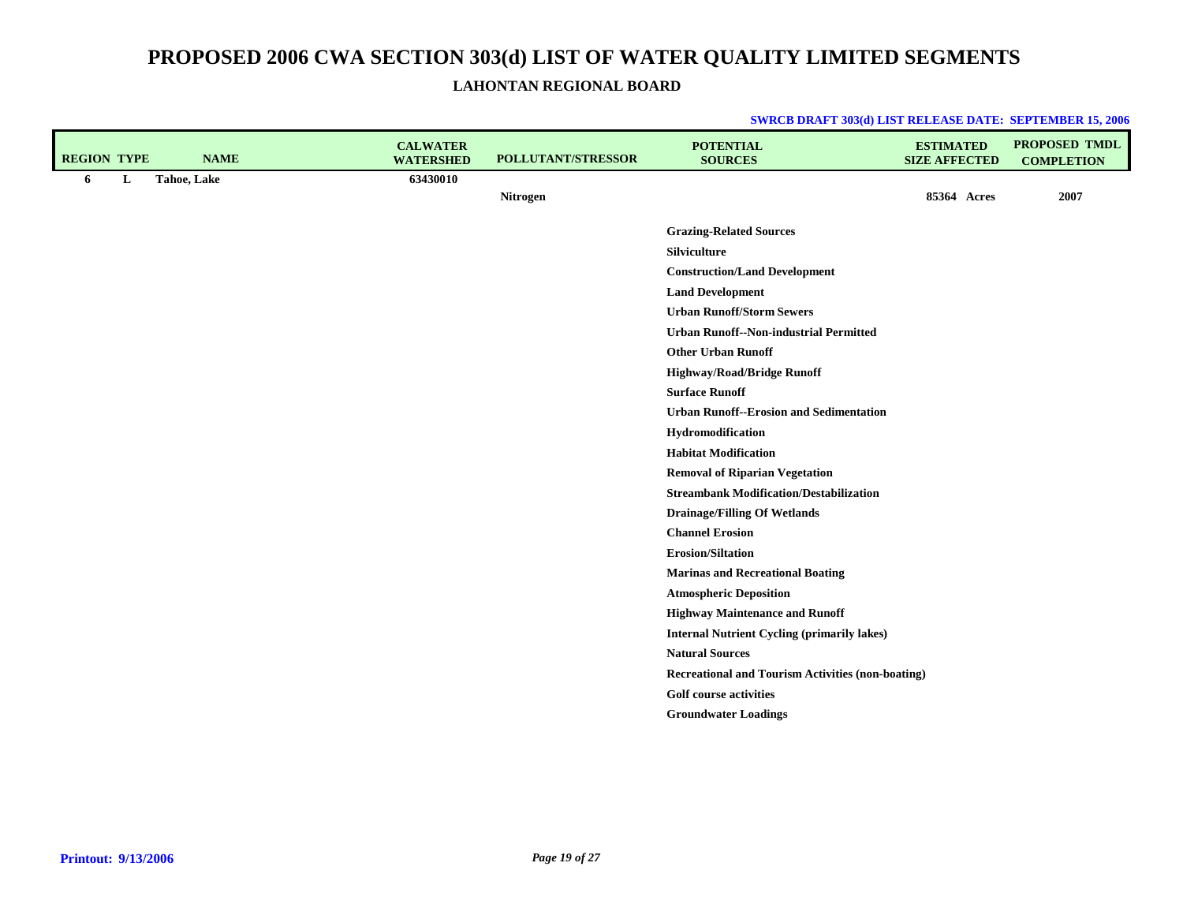| <b>REGION TYPE</b> |   | <b>NAME</b> | <b>CALWATER</b><br><b>WATERSHED</b> | <b>POLLUTANT/STRESSOR</b> | <b>POTENTIAL</b><br><b>SOURCES</b>                       | <b>ESTIMATED</b><br><b>SIZE AFFECTED</b> | <b>PROPOSED TMDL</b><br><b>COMPLETION</b> |
|--------------------|---|-------------|-------------------------------------|---------------------------|----------------------------------------------------------|------------------------------------------|-------------------------------------------|
| 6                  | L | Tahoe, Lake | 63430010                            |                           |                                                          |                                          |                                           |
|                    |   |             |                                     | Nitrogen                  |                                                          | 85364 Acres                              | 2007                                      |
|                    |   |             |                                     |                           | <b>Grazing-Related Sources</b>                           |                                          |                                           |
|                    |   |             |                                     |                           | Silviculture                                             |                                          |                                           |
|                    |   |             |                                     |                           | <b>Construction/Land Development</b>                     |                                          |                                           |
|                    |   |             |                                     |                           | <b>Land Development</b>                                  |                                          |                                           |
|                    |   |             |                                     |                           | <b>Urban Runoff/Storm Sewers</b>                         |                                          |                                           |
|                    |   |             |                                     |                           | <b>Urban Runoff--Non-industrial Permitted</b>            |                                          |                                           |
|                    |   |             |                                     |                           | <b>Other Urban Runoff</b>                                |                                          |                                           |
|                    |   |             |                                     |                           | Highway/Road/Bridge Runoff                               |                                          |                                           |
|                    |   |             |                                     |                           | <b>Surface Runoff</b>                                    |                                          |                                           |
|                    |   |             |                                     |                           | <b>Urban Runoff--Erosion and Sedimentation</b>           |                                          |                                           |
|                    |   |             |                                     |                           | Hydromodification                                        |                                          |                                           |
|                    |   |             |                                     |                           | <b>Habitat Modification</b>                              |                                          |                                           |
|                    |   |             |                                     |                           | <b>Removal of Riparian Vegetation</b>                    |                                          |                                           |
|                    |   |             |                                     |                           | <b>Streambank Modification/Destabilization</b>           |                                          |                                           |
|                    |   |             |                                     |                           | <b>Drainage/Filling Of Wetlands</b>                      |                                          |                                           |
|                    |   |             |                                     |                           | <b>Channel Erosion</b>                                   |                                          |                                           |
|                    |   |             |                                     |                           | <b>Erosion/Siltation</b>                                 |                                          |                                           |
|                    |   |             |                                     |                           | <b>Marinas and Recreational Boating</b>                  |                                          |                                           |
|                    |   |             |                                     |                           | <b>Atmospheric Deposition</b>                            |                                          |                                           |
|                    |   |             |                                     |                           | <b>Highway Maintenance and Runoff</b>                    |                                          |                                           |
|                    |   |             |                                     |                           | <b>Internal Nutrient Cycling (primarily lakes)</b>       |                                          |                                           |
|                    |   |             |                                     |                           | <b>Natural Sources</b>                                   |                                          |                                           |
|                    |   |             |                                     |                           | <b>Recreational and Tourism Activities (non-boating)</b> |                                          |                                           |
|                    |   |             |                                     |                           | <b>Golf course activities</b>                            |                                          |                                           |
|                    |   |             |                                     |                           | <b>Groundwater Loadings</b>                              |                                          |                                           |
|                    |   |             |                                     |                           |                                                          |                                          |                                           |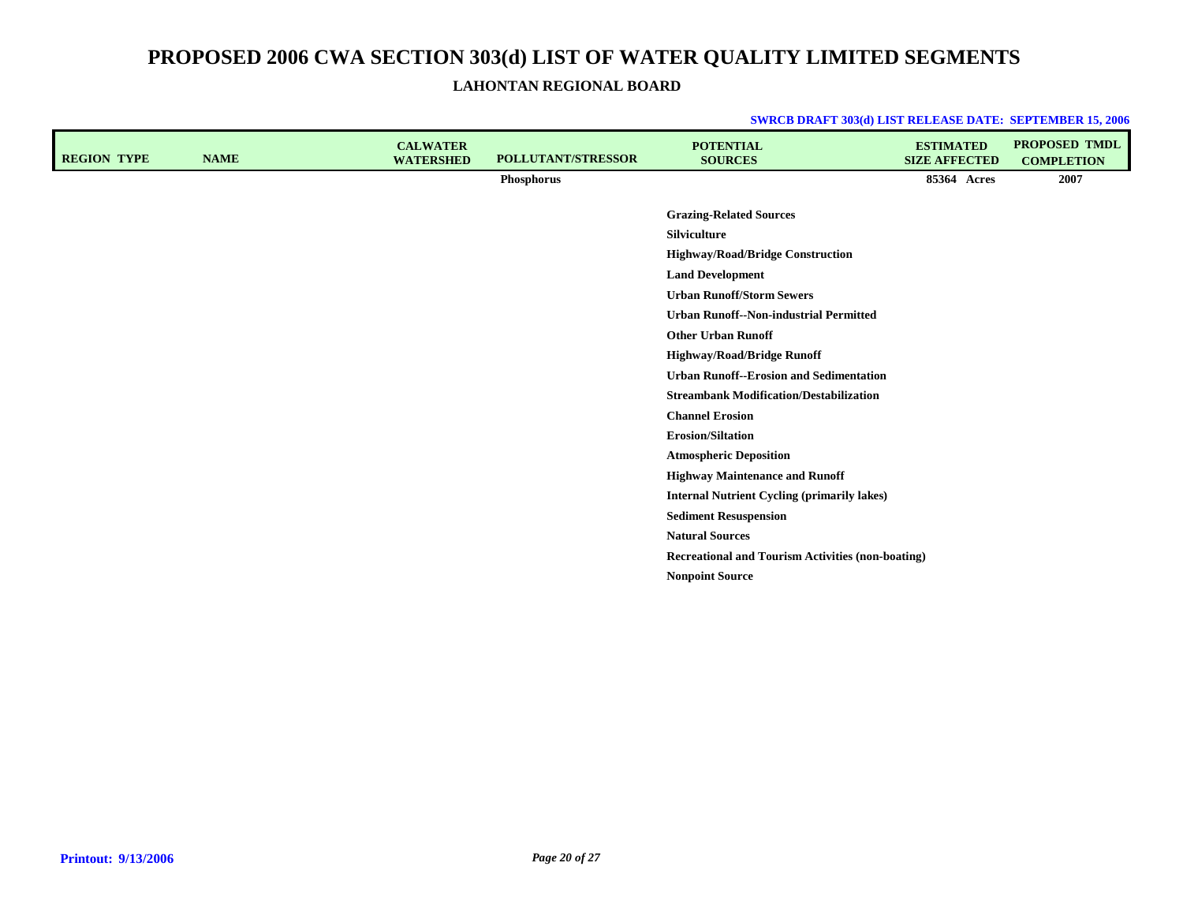| <b>REGION TYPE</b> | <b>NAME</b> | <b>CALWATER</b><br><b>WATERSHED</b> | <b>POLLUTANT/STRESSOR</b> | <b>POTENTIAL</b><br><b>SOURCES</b>                       | <b>ESTIMATED</b><br><b>SIZE AFFECTED</b> | <b>PROPOSED TMDL</b><br><b>COMPLETION</b> |
|--------------------|-------------|-------------------------------------|---------------------------|----------------------------------------------------------|------------------------------------------|-------------------------------------------|
|                    |             |                                     | Phosphorus                |                                                          | 85364 Acres                              | 2007                                      |
|                    |             |                                     |                           |                                                          |                                          |                                           |
|                    |             |                                     |                           | <b>Grazing-Related Sources</b>                           |                                          |                                           |
|                    |             |                                     |                           | Silviculture                                             |                                          |                                           |
|                    |             |                                     |                           | <b>Highway/Road/Bridge Construction</b>                  |                                          |                                           |
|                    |             |                                     |                           | <b>Land Development</b>                                  |                                          |                                           |
|                    |             |                                     |                           | <b>Urban Runoff/Storm Sewers</b>                         |                                          |                                           |
|                    |             |                                     |                           | <b>Urban Runoff--Non-industrial Permitted</b>            |                                          |                                           |
|                    |             |                                     |                           | <b>Other Urban Runoff</b>                                |                                          |                                           |
|                    |             |                                     |                           | Highway/Road/Bridge Runoff                               |                                          |                                           |
|                    |             |                                     |                           | <b>Urban Runoff--Erosion and Sedimentation</b>           |                                          |                                           |
|                    |             |                                     |                           | <b>Streambank Modification/Destabilization</b>           |                                          |                                           |
|                    |             |                                     |                           | <b>Channel Erosion</b>                                   |                                          |                                           |
|                    |             |                                     |                           | <b>Erosion/Siltation</b>                                 |                                          |                                           |
|                    |             |                                     |                           | <b>Atmospheric Deposition</b>                            |                                          |                                           |
|                    |             |                                     |                           | <b>Highway Maintenance and Runoff</b>                    |                                          |                                           |
|                    |             |                                     |                           | <b>Internal Nutrient Cycling (primarily lakes)</b>       |                                          |                                           |
|                    |             |                                     |                           | <b>Sediment Resuspension</b>                             |                                          |                                           |
|                    |             |                                     |                           | <b>Natural Sources</b>                                   |                                          |                                           |
|                    |             |                                     |                           | <b>Recreational and Tourism Activities (non-boating)</b> |                                          |                                           |
|                    |             |                                     |                           | <b>Nonpoint Source</b>                                   |                                          |                                           |
|                    |             |                                     |                           |                                                          |                                          |                                           |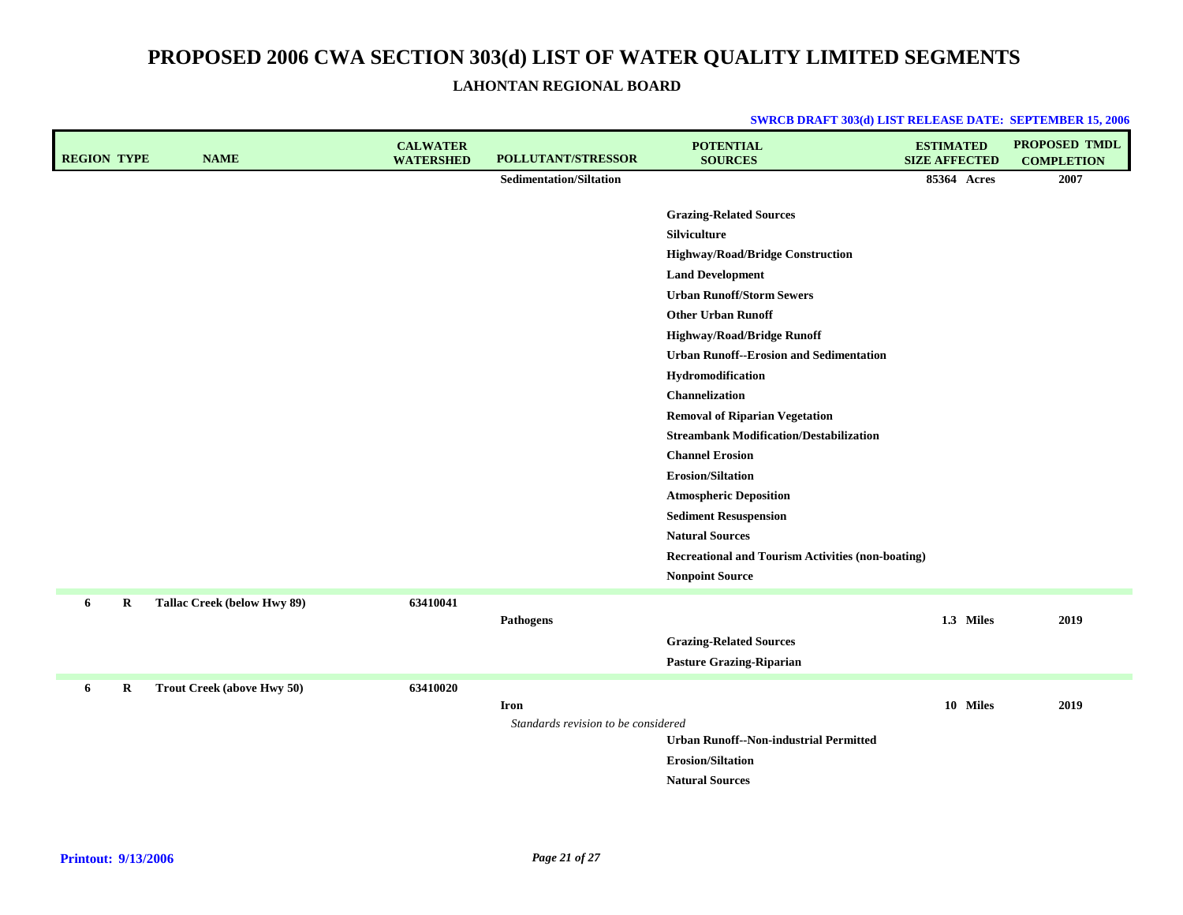| <b>REGION TYPE</b> |   | <b>NAME</b>                       | <b>CALWATER</b><br><b>WATERSHED</b> | POLLUTANT/STRESSOR                  | <b>POTENTIAL</b><br><b>SOURCES</b>                       | <b>ESTIMATED</b><br><b>SIZE AFFECTED</b> | <b>PROPOSED TMDL</b><br><b>COMPLETION</b> |
|--------------------|---|-----------------------------------|-------------------------------------|-------------------------------------|----------------------------------------------------------|------------------------------------------|-------------------------------------------|
|                    |   |                                   |                                     | <b>Sedimentation/Siltation</b>      |                                                          | 85364 Acres                              | 2007                                      |
|                    |   |                                   |                                     |                                     |                                                          |                                          |                                           |
|                    |   |                                   |                                     |                                     | <b>Grazing-Related Sources</b>                           |                                          |                                           |
|                    |   |                                   |                                     |                                     | Silviculture                                             |                                          |                                           |
|                    |   |                                   |                                     |                                     | Highway/Road/Bridge Construction                         |                                          |                                           |
|                    |   |                                   |                                     |                                     | <b>Land Development</b>                                  |                                          |                                           |
|                    |   |                                   |                                     |                                     | <b>Urban Runoff/Storm Sewers</b>                         |                                          |                                           |
|                    |   |                                   |                                     |                                     | <b>Other Urban Runoff</b>                                |                                          |                                           |
|                    |   |                                   |                                     |                                     | <b>Highway/Road/Bridge Runoff</b>                        |                                          |                                           |
|                    |   |                                   |                                     |                                     | <b>Urban Runoff--Erosion and Sedimentation</b>           |                                          |                                           |
|                    |   |                                   |                                     |                                     | Hydromodification                                        |                                          |                                           |
|                    |   |                                   |                                     |                                     | Channelization                                           |                                          |                                           |
|                    |   |                                   |                                     |                                     | <b>Removal of Riparian Vegetation</b>                    |                                          |                                           |
|                    |   |                                   |                                     |                                     | <b>Streambank Modification/Destabilization</b>           |                                          |                                           |
|                    |   |                                   |                                     |                                     | <b>Channel Erosion</b>                                   |                                          |                                           |
|                    |   |                                   |                                     |                                     | <b>Erosion/Siltation</b>                                 |                                          |                                           |
|                    |   |                                   |                                     |                                     | <b>Atmospheric Deposition</b>                            |                                          |                                           |
|                    |   |                                   |                                     |                                     | <b>Sediment Resuspension</b>                             |                                          |                                           |
|                    |   |                                   |                                     |                                     | <b>Natural Sources</b>                                   |                                          |                                           |
|                    |   |                                   |                                     |                                     | <b>Recreational and Tourism Activities (non-boating)</b> |                                          |                                           |
|                    |   |                                   |                                     |                                     | <b>Nonpoint Source</b>                                   |                                          |                                           |
| 6                  | R | Tallac Creek (below Hwy 89)       | 63410041                            |                                     |                                                          |                                          |                                           |
|                    |   |                                   |                                     | <b>Pathogens</b>                    |                                                          | 1.3 Miles                                | 2019                                      |
|                    |   |                                   |                                     |                                     | <b>Grazing-Related Sources</b>                           |                                          |                                           |
|                    |   |                                   |                                     |                                     | <b>Pasture Grazing-Riparian</b>                          |                                          |                                           |
| 6                  | R | <b>Trout Creek (above Hwy 50)</b> | 63410020                            |                                     |                                                          |                                          |                                           |
|                    |   |                                   |                                     | <b>Iron</b>                         |                                                          | 10 Miles                                 | 2019                                      |
|                    |   |                                   |                                     | Standards revision to be considered |                                                          |                                          |                                           |
|                    |   |                                   |                                     |                                     | <b>Urban Runoff--Non-industrial Permitted</b>            |                                          |                                           |
|                    |   |                                   |                                     |                                     | <b>Erosion/Siltation</b>                                 |                                          |                                           |
|                    |   |                                   |                                     |                                     | <b>Natural Sources</b>                                   |                                          |                                           |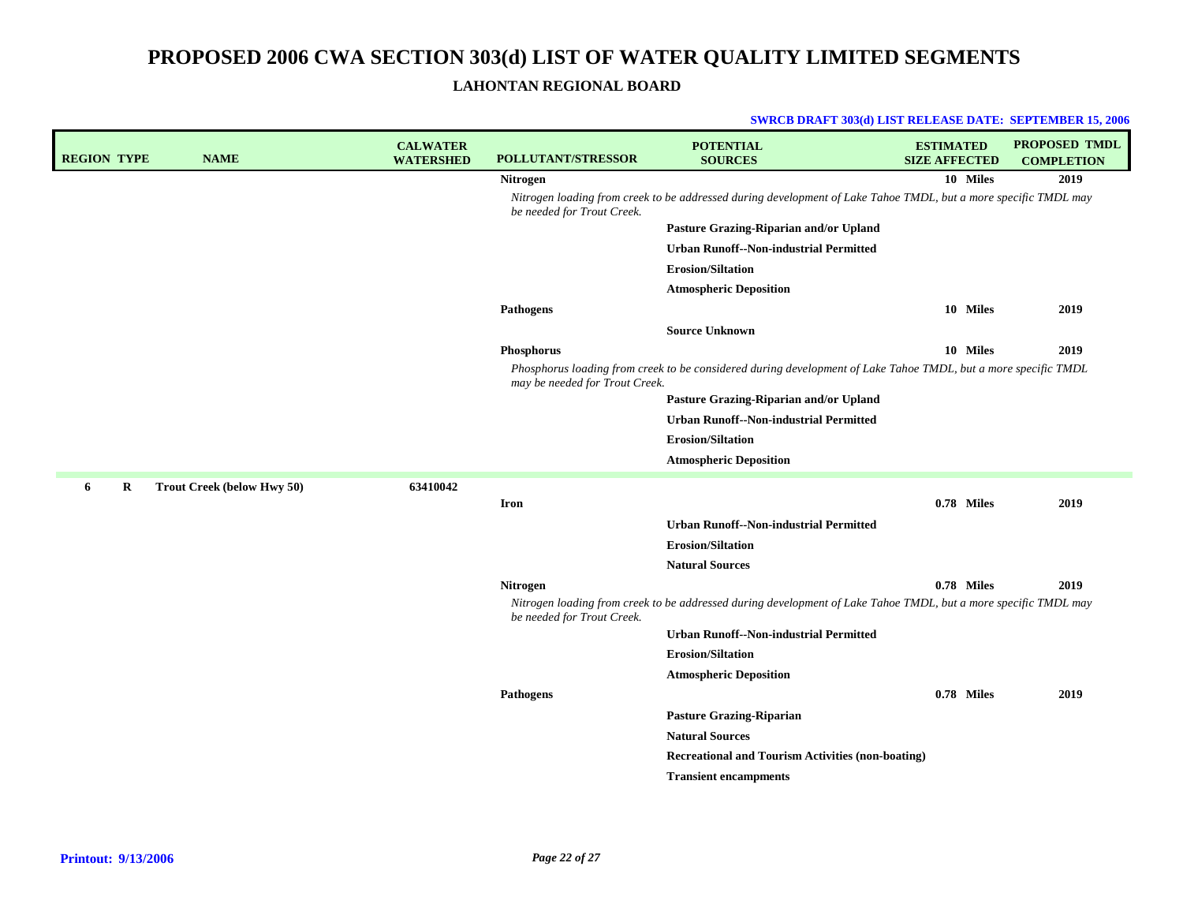| <b>REGION TYPE</b> | <b>NAME</b>                | <b>CALWATER</b><br><b>WATERSHED</b> | <b>POLLUTANT/STRESSOR</b>      | <b>POTENTIAL</b><br><b>SOURCES</b>                                                                              | <b>ESTIMATED</b><br><b>SIZE AFFECTED</b> | <b>PROPOSED TMDL</b><br><b>COMPLETION</b> |
|--------------------|----------------------------|-------------------------------------|--------------------------------|-----------------------------------------------------------------------------------------------------------------|------------------------------------------|-------------------------------------------|
|                    |                            |                                     | <b>Nitrogen</b>                |                                                                                                                 | 10 Miles                                 | 2019                                      |
|                    |                            |                                     | be needed for Trout Creek.     | Nitrogen loading from creek to be addressed during development of Lake Tahoe TMDL, but a more specific TMDL may |                                          |                                           |
|                    |                            |                                     |                                | Pasture Grazing-Riparian and/or Upland                                                                          |                                          |                                           |
|                    |                            |                                     |                                | <b>Urban Runoff--Non-industrial Permitted</b>                                                                   |                                          |                                           |
|                    |                            |                                     |                                | <b>Erosion/Siltation</b>                                                                                        |                                          |                                           |
|                    |                            |                                     |                                | <b>Atmospheric Deposition</b>                                                                                   |                                          |                                           |
|                    |                            |                                     | Pathogens                      |                                                                                                                 | 10 Miles                                 | 2019                                      |
|                    |                            |                                     |                                | <b>Source Unknown</b>                                                                                           |                                          |                                           |
|                    |                            |                                     | Phosphorus                     |                                                                                                                 | 10 Miles                                 | 2019                                      |
|                    |                            |                                     | may be needed for Trout Creek. | Phosphorus loading from creek to be considered during development of Lake Tahoe TMDL, but a more specific TMDL  |                                          |                                           |
|                    |                            |                                     |                                | Pasture Grazing-Riparian and/or Upland                                                                          |                                          |                                           |
|                    |                            |                                     |                                | <b>Urban Runoff--Non-industrial Permitted</b>                                                                   |                                          |                                           |
|                    |                            |                                     |                                | <b>Erosion/Siltation</b>                                                                                        |                                          |                                           |
|                    |                            |                                     |                                | <b>Atmospheric Deposition</b>                                                                                   |                                          |                                           |
| $\bf R$<br>6       | Trout Creek (below Hwy 50) | 63410042                            |                                |                                                                                                                 |                                          |                                           |
|                    |                            |                                     | Iron                           |                                                                                                                 | 0.78 Miles                               | 2019                                      |
|                    |                            |                                     |                                | <b>Urban Runoff--Non-industrial Permitted</b>                                                                   |                                          |                                           |
|                    |                            |                                     |                                | <b>Erosion/Siltation</b>                                                                                        |                                          |                                           |
|                    |                            |                                     |                                | <b>Natural Sources</b>                                                                                          |                                          |                                           |
|                    |                            |                                     | <b>Nitrogen</b>                |                                                                                                                 | 0.78 Miles                               | 2019                                      |
|                    |                            |                                     | be needed for Trout Creek.     | Nitrogen loading from creek to be addressed during development of Lake Tahoe TMDL, but a more specific TMDL may |                                          |                                           |
|                    |                            |                                     |                                | <b>Urban Runoff--Non-industrial Permitted</b>                                                                   |                                          |                                           |
|                    |                            |                                     |                                | <b>Erosion/Siltation</b>                                                                                        |                                          |                                           |
|                    |                            |                                     |                                | <b>Atmospheric Deposition</b>                                                                                   |                                          |                                           |
|                    |                            |                                     | Pathogens                      |                                                                                                                 | 0.78 Miles                               | 2019                                      |
|                    |                            |                                     |                                | <b>Pasture Grazing-Riparian</b>                                                                                 |                                          |                                           |
|                    |                            |                                     |                                | <b>Natural Sources</b>                                                                                          |                                          |                                           |
|                    |                            |                                     |                                | <b>Recreational and Tourism Activities (non-boating)</b>                                                        |                                          |                                           |
|                    |                            |                                     |                                | <b>Transient encampments</b>                                                                                    |                                          |                                           |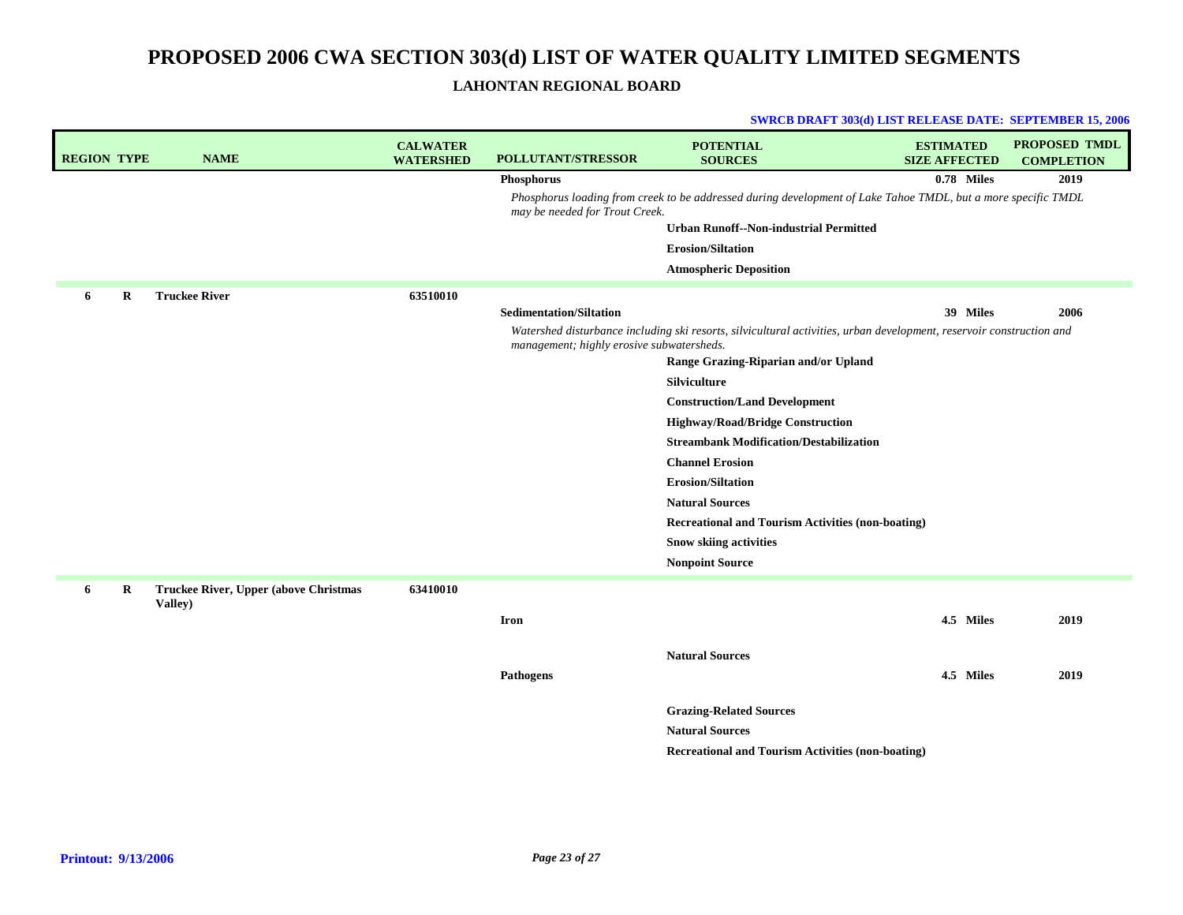## **PROPOSED 2006 CWA SECTION 303(d) LIST OF WATER QUALITY LIMITED SEGMENTS**

**LAHONTAN REGIONAL BOARD**

| <b>REGION TYPE</b> |   | <b>NAME</b>                                   | <b>CALWATER</b><br><b>WATERSHED</b> | POLLUTANT/STRESSOR                        | <b>POTENTIAL</b><br><b>SOURCES</b>                                                                                   | <b>ESTIMATED</b><br><b>SIZE AFFECTED</b> | PROPOSED TMDL<br><b>COMPLETION</b> |
|--------------------|---|-----------------------------------------------|-------------------------------------|-------------------------------------------|----------------------------------------------------------------------------------------------------------------------|------------------------------------------|------------------------------------|
|                    |   |                                               |                                     | Phosphorus                                |                                                                                                                      | 0.78 Miles                               | 2019                               |
|                    |   |                                               |                                     | may be needed for Trout Creek.            | Phosphorus loading from creek to be addressed during development of Lake Tahoe TMDL, but a more specific TMDL        |                                          |                                    |
|                    |   |                                               |                                     |                                           | <b>Urban Runoff--Non-industrial Permitted</b>                                                                        |                                          |                                    |
|                    |   |                                               |                                     |                                           | <b>Erosion/Siltation</b>                                                                                             |                                          |                                    |
|                    |   |                                               |                                     |                                           | <b>Atmospheric Deposition</b>                                                                                        |                                          |                                    |
| 6                  | R | <b>Truckee River</b>                          | 63510010                            |                                           |                                                                                                                      |                                          |                                    |
|                    |   |                                               |                                     | <b>Sedimentation/Siltation</b>            |                                                                                                                      | 39 Miles                                 | 2006                               |
|                    |   |                                               |                                     | management; highly erosive subwatersheds. | Watershed disturbance including ski resorts, silvicultural activities, urban development, reservoir construction and |                                          |                                    |
|                    |   |                                               |                                     |                                           | Range Grazing-Riparian and/or Upland                                                                                 |                                          |                                    |
|                    |   |                                               |                                     |                                           | Silviculture                                                                                                         |                                          |                                    |
|                    |   |                                               |                                     |                                           | <b>Construction/Land Development</b>                                                                                 |                                          |                                    |
|                    |   |                                               |                                     |                                           | <b>Highway/Road/Bridge Construction</b>                                                                              |                                          |                                    |
|                    |   |                                               |                                     |                                           | <b>Streambank Modification/Destabilization</b>                                                                       |                                          |                                    |
|                    |   |                                               |                                     |                                           | <b>Channel Erosion</b>                                                                                               |                                          |                                    |
|                    |   |                                               |                                     |                                           | <b>Erosion/Siltation</b>                                                                                             |                                          |                                    |
|                    |   |                                               |                                     |                                           | <b>Natural Sources</b>                                                                                               |                                          |                                    |
|                    |   |                                               |                                     |                                           | <b>Recreational and Tourism Activities (non-boating)</b>                                                             |                                          |                                    |
|                    |   |                                               |                                     |                                           | <b>Snow skiing activities</b>                                                                                        |                                          |                                    |
|                    |   |                                               |                                     |                                           | <b>Nonpoint Source</b>                                                                                               |                                          |                                    |
| 6                  | R | <b>Truckee River, Upper (above Christmas)</b> | 63410010                            |                                           |                                                                                                                      |                                          |                                    |
|                    |   | Valley)                                       |                                     | <b>Iron</b>                               |                                                                                                                      | 4.5 Miles                                | 2019                               |
|                    |   |                                               |                                     |                                           |                                                                                                                      |                                          |                                    |
|                    |   |                                               |                                     |                                           | <b>Natural Sources</b>                                                                                               |                                          |                                    |
|                    |   |                                               |                                     | <b>Pathogens</b>                          |                                                                                                                      | 4.5 Miles                                | 2019                               |
|                    |   |                                               |                                     |                                           | <b>Grazing-Related Sources</b>                                                                                       |                                          |                                    |
|                    |   |                                               |                                     |                                           | <b>Natural Sources</b>                                                                                               |                                          |                                    |
|                    |   |                                               |                                     |                                           | <b>Recreational and Tourism Activities (non-boating)</b>                                                             |                                          |                                    |
|                    |   |                                               |                                     |                                           |                                                                                                                      |                                          |                                    |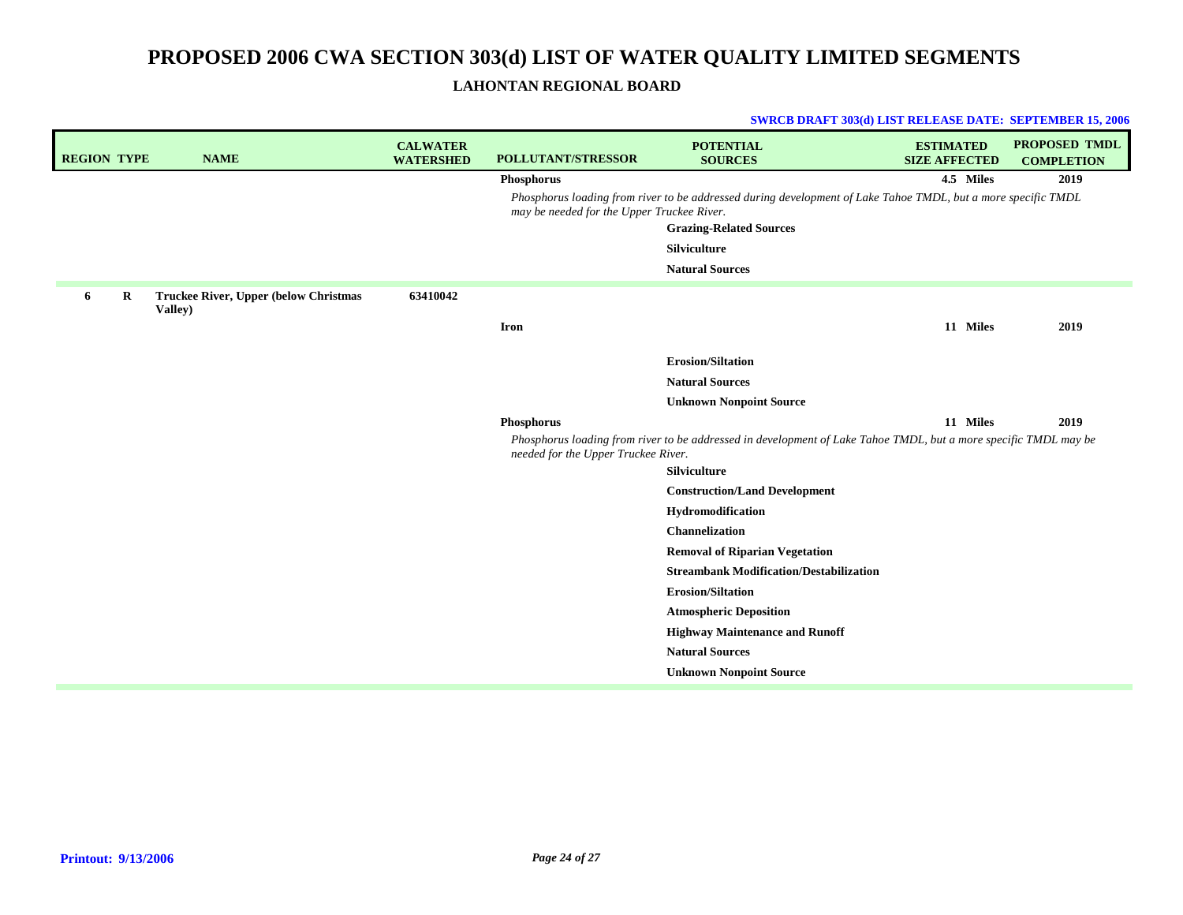# **PROPOSED 2006 CWA SECTION 303(d) LIST OF WATER QUALITY LIMITED SEGMENTS**

**LAHONTAN REGIONAL BOARD**

| <b>REGION TYPE</b> |         | <b>NAME</b>                                              | <b>CALWATER</b><br><b>WATERSHED</b> | <b>POLLUTANT/STRESSOR</b>                  | <b>POTENTIAL</b><br><b>SOURCES</b>                                                                               | <b>ESTIMATED</b><br><b>SIZE AFFECTED</b> | <b>PROPOSED TMDL</b><br><b>COMPLETION</b> |
|--------------------|---------|----------------------------------------------------------|-------------------------------------|--------------------------------------------|------------------------------------------------------------------------------------------------------------------|------------------------------------------|-------------------------------------------|
|                    |         |                                                          |                                     | Phosphorus                                 |                                                                                                                  | 4.5 Miles                                | 2019                                      |
|                    |         |                                                          |                                     | may be needed for the Upper Truckee River. | Phosphorus loading from river to be addressed during development of Lake Tahoe TMDL, but a more specific TMDL    |                                          |                                           |
|                    |         |                                                          |                                     |                                            | <b>Grazing-Related Sources</b>                                                                                   |                                          |                                           |
|                    |         |                                                          |                                     |                                            | Silviculture                                                                                                     |                                          |                                           |
|                    |         |                                                          |                                     |                                            | <b>Natural Sources</b>                                                                                           |                                          |                                           |
| 6                  | $\bf R$ | <b>Truckee River, Upper (below Christmas)</b><br>Valley) | 63410042                            |                                            |                                                                                                                  |                                          |                                           |
|                    |         |                                                          |                                     | Iron                                       |                                                                                                                  | 11 Miles                                 | 2019                                      |
|                    |         |                                                          |                                     |                                            | <b>Erosion/Siltation</b>                                                                                         |                                          |                                           |
|                    |         |                                                          |                                     |                                            | <b>Natural Sources</b>                                                                                           |                                          |                                           |
|                    |         |                                                          |                                     |                                            | <b>Unknown Nonpoint Source</b>                                                                                   |                                          |                                           |
|                    |         |                                                          |                                     | Phosphorus                                 |                                                                                                                  | 11 Miles                                 | 2019                                      |
|                    |         |                                                          |                                     | needed for the Upper Truckee River.        | Phosphorus loading from river to be addressed in development of Lake Tahoe TMDL, but a more specific TMDL may be |                                          |                                           |
|                    |         |                                                          |                                     |                                            | <b>Silviculture</b>                                                                                              |                                          |                                           |
|                    |         |                                                          |                                     |                                            | <b>Construction/Land Development</b>                                                                             |                                          |                                           |
|                    |         |                                                          |                                     |                                            | Hydromodification                                                                                                |                                          |                                           |
|                    |         |                                                          |                                     |                                            | <b>Channelization</b>                                                                                            |                                          |                                           |
|                    |         |                                                          |                                     |                                            | <b>Removal of Riparian Vegetation</b>                                                                            |                                          |                                           |
|                    |         |                                                          |                                     |                                            | <b>Streambank Modification/Destabilization</b>                                                                   |                                          |                                           |
|                    |         |                                                          |                                     |                                            | <b>Erosion/Siltation</b>                                                                                         |                                          |                                           |
|                    |         |                                                          |                                     |                                            | <b>Atmospheric Deposition</b>                                                                                    |                                          |                                           |
|                    |         |                                                          |                                     |                                            | <b>Highway Maintenance and Runoff</b>                                                                            |                                          |                                           |
|                    |         |                                                          |                                     |                                            | <b>Natural Sources</b>                                                                                           |                                          |                                           |
|                    |         |                                                          |                                     |                                            | <b>Unknown Nonpoint Source</b>                                                                                   |                                          |                                           |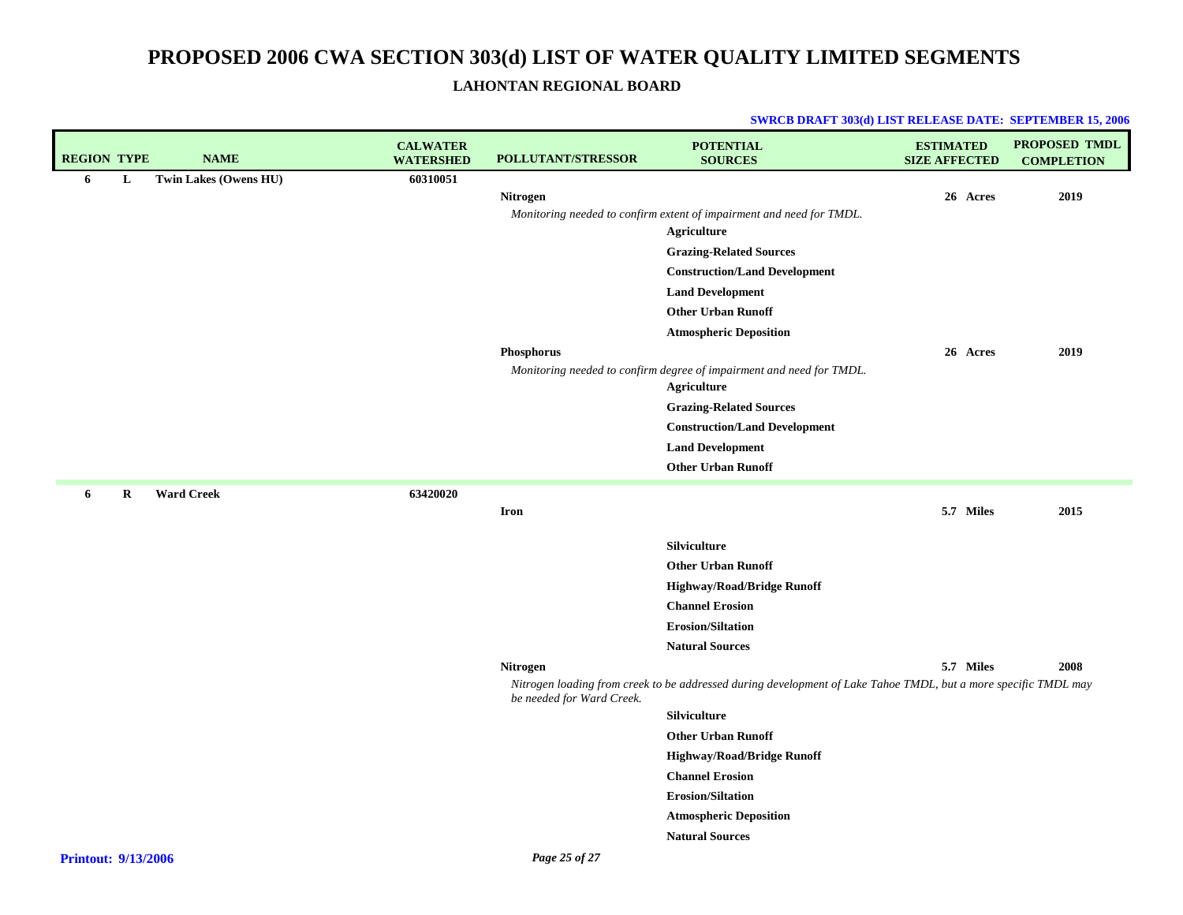| <b>REGION TYPE</b>         |   | <b>NAME</b>           | <b>CALWATER</b><br><b>WATERSHED</b> | POLLUTANT/STRESSOR        | <b>POTENTIAL</b><br><b>SOURCES</b>                                                                              | <b>ESTIMATED</b><br><b>SIZE AFFECTED</b> | <b>PROPOSED TMDL</b><br><b>COMPLETION</b> |
|----------------------------|---|-----------------------|-------------------------------------|---------------------------|-----------------------------------------------------------------------------------------------------------------|------------------------------------------|-------------------------------------------|
| 6                          | L | Twin Lakes (Owens HU) | 60310051                            |                           |                                                                                                                 |                                          |                                           |
|                            |   |                       |                                     | <b>Nitrogen</b>           |                                                                                                                 | 26 Acres                                 | 2019                                      |
|                            |   |                       |                                     |                           | Monitoring needed to confirm extent of impairment and need for TMDL.<br><b>Agriculture</b>                      |                                          |                                           |
|                            |   |                       |                                     |                           | <b>Grazing-Related Sources</b>                                                                                  |                                          |                                           |
|                            |   |                       |                                     |                           | <b>Construction/Land Development</b>                                                                            |                                          |                                           |
|                            |   |                       |                                     |                           | <b>Land Development</b>                                                                                         |                                          |                                           |
|                            |   |                       |                                     |                           | <b>Other Urban Runoff</b>                                                                                       |                                          |                                           |
|                            |   |                       |                                     |                           |                                                                                                                 |                                          |                                           |
|                            |   |                       |                                     |                           | <b>Atmospheric Deposition</b>                                                                                   | 26 Acres                                 | 2019                                      |
|                            |   |                       |                                     | Phosphorus                | Monitoring needed to confirm degree of impairment and need for TMDL.                                            |                                          |                                           |
|                            |   |                       |                                     |                           | <b>Agriculture</b>                                                                                              |                                          |                                           |
|                            |   |                       |                                     |                           | <b>Grazing-Related Sources</b>                                                                                  |                                          |                                           |
|                            |   |                       |                                     |                           | <b>Construction/Land Development</b>                                                                            |                                          |                                           |
|                            |   |                       |                                     |                           | <b>Land Development</b>                                                                                         |                                          |                                           |
|                            |   |                       |                                     |                           | <b>Other Urban Runoff</b>                                                                                       |                                          |                                           |
| 6                          | R | <b>Ward Creek</b>     | 63420020                            |                           |                                                                                                                 |                                          |                                           |
|                            |   |                       |                                     | Iron                      |                                                                                                                 | 5.7 Miles                                | 2015                                      |
|                            |   |                       |                                     |                           | Silviculture                                                                                                    |                                          |                                           |
|                            |   |                       |                                     |                           | <b>Other Urban Runoff</b>                                                                                       |                                          |                                           |
|                            |   |                       |                                     |                           | <b>Highway/Road/Bridge Runoff</b>                                                                               |                                          |                                           |
|                            |   |                       |                                     |                           | <b>Channel Erosion</b>                                                                                          |                                          |                                           |
|                            |   |                       |                                     |                           | <b>Erosion/Siltation</b>                                                                                        |                                          |                                           |
|                            |   |                       |                                     |                           | <b>Natural Sources</b>                                                                                          |                                          |                                           |
|                            |   |                       |                                     | Nitrogen                  |                                                                                                                 | 5.7 Miles                                | 2008                                      |
|                            |   |                       |                                     | be needed for Ward Creek. | Nitrogen loading from creek to be addressed during development of Lake Tahoe TMDL, but a more specific TMDL may |                                          |                                           |
|                            |   |                       |                                     |                           | Silviculture                                                                                                    |                                          |                                           |
|                            |   |                       |                                     |                           | <b>Other Urban Runoff</b>                                                                                       |                                          |                                           |
|                            |   |                       |                                     |                           | <b>Highway/Road/Bridge Runoff</b>                                                                               |                                          |                                           |
|                            |   |                       |                                     |                           | <b>Channel Erosion</b>                                                                                          |                                          |                                           |
|                            |   |                       |                                     |                           | <b>Erosion/Siltation</b>                                                                                        |                                          |                                           |
|                            |   |                       |                                     |                           | <b>Atmospheric Deposition</b>                                                                                   |                                          |                                           |
|                            |   |                       |                                     |                           | <b>Natural Sources</b>                                                                                          |                                          |                                           |
| <b>Printout: 9/13/2006</b> |   |                       | Page 25 of 27                       |                           |                                                                                                                 |                                          |                                           |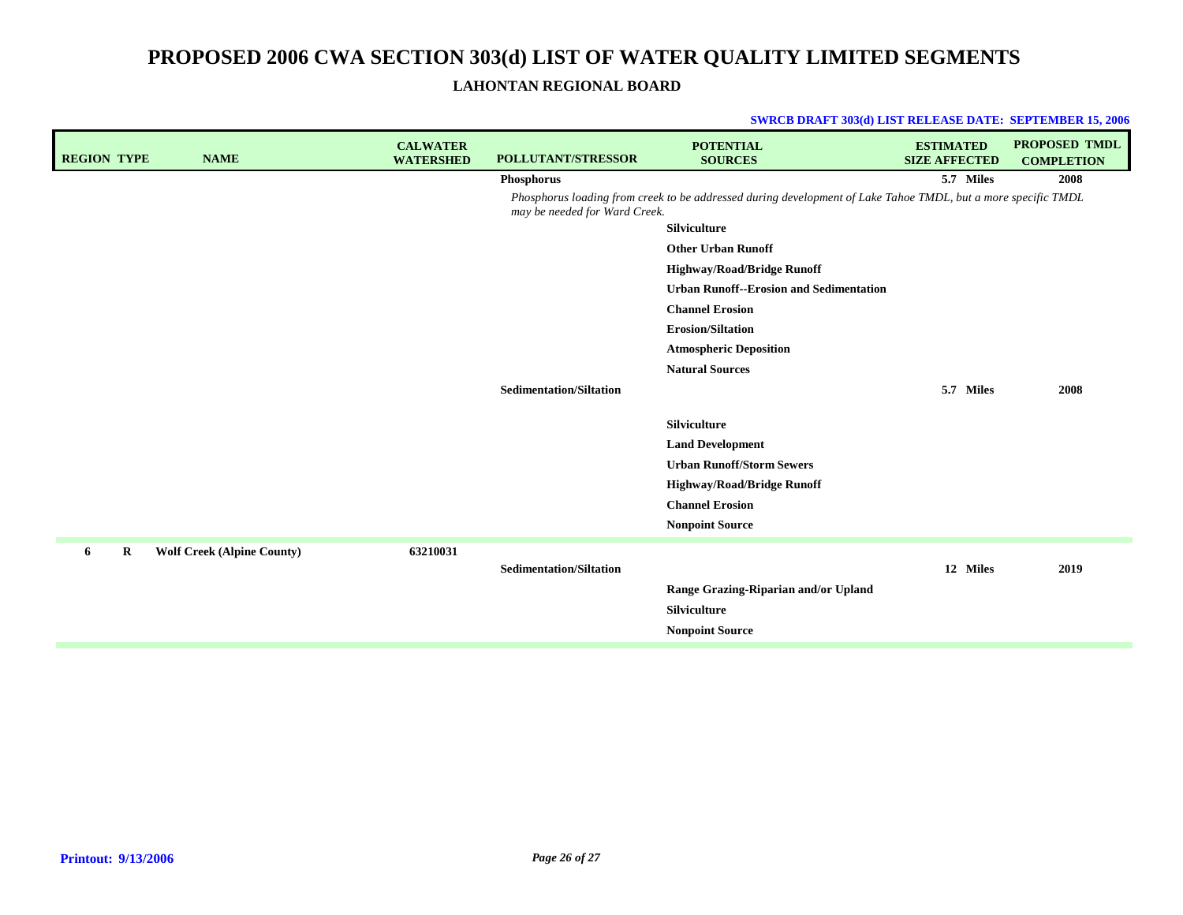| <b>REGION TYPE</b> | <b>NAME</b>                       | <b>CALWATER</b><br><b>WATERSHED</b> | <b>POLLUTANT/STRESSOR</b>      | <b>POTENTIAL</b><br><b>SOURCES</b>                                                                            | <b>ESTIMATED</b><br><b>SIZE AFFECTED</b> | <b>PROPOSED TMDL</b><br><b>COMPLETION</b> |
|--------------------|-----------------------------------|-------------------------------------|--------------------------------|---------------------------------------------------------------------------------------------------------------|------------------------------------------|-------------------------------------------|
|                    |                                   |                                     | Phosphorus                     |                                                                                                               | 5.7 Miles                                | 2008                                      |
|                    |                                   |                                     | may be needed for Ward Creek.  | Phosphorus loading from creek to be addressed during development of Lake Tahoe TMDL, but a more specific TMDL |                                          |                                           |
|                    |                                   |                                     |                                | <b>Silviculture</b>                                                                                           |                                          |                                           |
|                    |                                   |                                     |                                | <b>Other Urban Runoff</b>                                                                                     |                                          |                                           |
|                    |                                   |                                     |                                | <b>Highway/Road/Bridge Runoff</b>                                                                             |                                          |                                           |
|                    |                                   |                                     |                                | <b>Urban Runoff--Erosion and Sedimentation</b>                                                                |                                          |                                           |
|                    |                                   |                                     |                                | <b>Channel Erosion</b>                                                                                        |                                          |                                           |
|                    |                                   |                                     |                                | <b>Erosion/Siltation</b>                                                                                      |                                          |                                           |
|                    |                                   |                                     |                                | <b>Atmospheric Deposition</b>                                                                                 |                                          |                                           |
|                    |                                   |                                     |                                | <b>Natural Sources</b>                                                                                        |                                          |                                           |
|                    |                                   |                                     | <b>Sedimentation/Siltation</b> |                                                                                                               | 5.7 Miles                                | 2008                                      |
|                    |                                   |                                     |                                | <b>Silviculture</b>                                                                                           |                                          |                                           |
|                    |                                   |                                     |                                | <b>Land Development</b>                                                                                       |                                          |                                           |
|                    |                                   |                                     |                                | <b>Urban Runoff/Storm Sewers</b>                                                                              |                                          |                                           |
|                    |                                   |                                     |                                | <b>Highway/Road/Bridge Runoff</b>                                                                             |                                          |                                           |
|                    |                                   |                                     |                                | <b>Channel Erosion</b>                                                                                        |                                          |                                           |
|                    |                                   |                                     |                                | <b>Nonpoint Source</b>                                                                                        |                                          |                                           |
| $\bf R$<br>6       | <b>Wolf Creek (Alpine County)</b> | 63210031                            |                                |                                                                                                               |                                          |                                           |
|                    |                                   |                                     | <b>Sedimentation/Siltation</b> |                                                                                                               | 12 Miles                                 | 2019                                      |
|                    |                                   |                                     |                                | Range Grazing-Riparian and/or Upland                                                                          |                                          |                                           |
|                    |                                   |                                     |                                | <b>Silviculture</b>                                                                                           |                                          |                                           |
|                    |                                   |                                     |                                | <b>Nonpoint Source</b>                                                                                        |                                          |                                           |